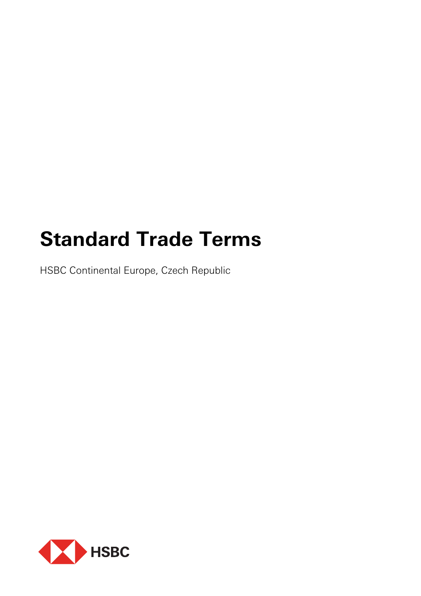# **Standard Trade Terms**

HSBC Continental Europe, Czech Republic

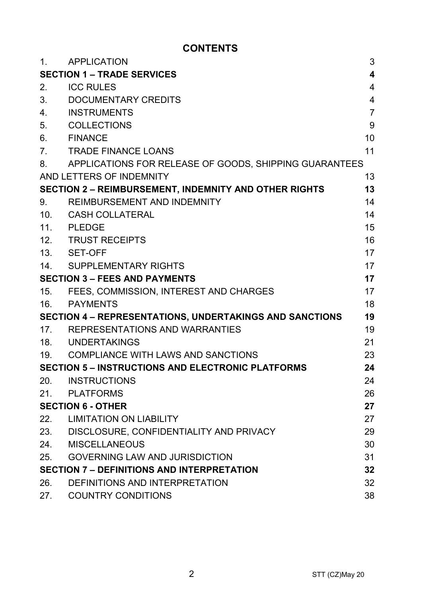## **CONTENTS**

| 1.              | <b>APPLICATION</b>                                           | 3                       |
|-----------------|--------------------------------------------------------------|-------------------------|
|                 | <b>SECTION 1 – TRADE SERVICES</b>                            | $\overline{\mathbf{4}}$ |
| 2.              | <b>ICC RULES</b>                                             | 4                       |
| 3.              | DOCUMENTARY CREDITS                                          | 4                       |
| 4.              | <b>INSTRUMENTS</b>                                           | $\overline{7}$          |
| 5.              | <b>COLLECTIONS</b>                                           | 9                       |
| 6.              | <b>FINANCE</b>                                               | 10                      |
| 7.              | <b>TRADE FINANCE LOANS</b>                                   | 11                      |
| 8.              | APPLICATIONS FOR RELEASE OF GOODS, SHIPPING GUARANTEES       |                         |
|                 | AND LETTERS OF INDEMNITY                                     | 13                      |
|                 | <b>SECTION 2 - REIMBURSEMENT, INDEMNITY AND OTHER RIGHTS</b> | 13                      |
| 9.              | REIMBURSEMENT AND INDEMNITY                                  | 14                      |
| 10 <sub>1</sub> | <b>CASH COLLATERAL</b>                                       | 14                      |
| 11.             | <b>PLEDGE</b>                                                | 15                      |
| 12.             | <b>TRUST RECEIPTS</b>                                        | 16                      |
| 13.             | SET-OFF                                                      | 17                      |
| 14.             | SUPPLEMENTARY RIGHTS                                         | 17                      |
|                 | <b>SECTION 3 - FEES AND PAYMENTS</b>                         | 17                      |
| 15.             | FEES, COMMISSION, INTEREST AND CHARGES                       | 17                      |
| 16.             | PAYMENTS                                                     | 18                      |
|                 | SECTION 4 - REPRESENTATIONS, UNDERTAKINGS AND SANCTIONS      | 19                      |
|                 | 17. REPRESENTATIONS AND WARRANTIES                           | 19                      |
|                 | 18. UNDERTAKINGS                                             | 21                      |
| 19.             | COMPLIANCE WITH LAWS AND SANCTIONS                           | 23                      |
|                 | <b>SECTION 5 - INSTRUCTIONS AND ELECTRONIC PLATFORMS</b>     | 24                      |
| 20.             | <b>INSTRUCTIONS</b>                                          | 24                      |
| 21 <sub>1</sub> | PLATFORMS                                                    | 26                      |
|                 | <b>SECTION 6 - OTHER</b>                                     | 27                      |
| 22.             | <b>LIMITATION ON LIABILITY</b>                               | 27                      |
| 23.             | DISCLOSURE, CONFIDENTIALITY AND PRIVACY                      | 29                      |
| 24.             | <b>MISCELLANEOUS</b>                                         | 30                      |
| 25.             | <b>GOVERNING LAW AND JURISDICTION</b>                        | 31                      |
|                 | <b>SECTION 7 - DEFINITIONS AND INTERPRETATION</b>            | 32                      |
| 26.             | DEFINITIONS AND INTERPRETATION                               | 32                      |
| 27.             | <b>COUNTRY CONDITIONS</b>                                    | 38                      |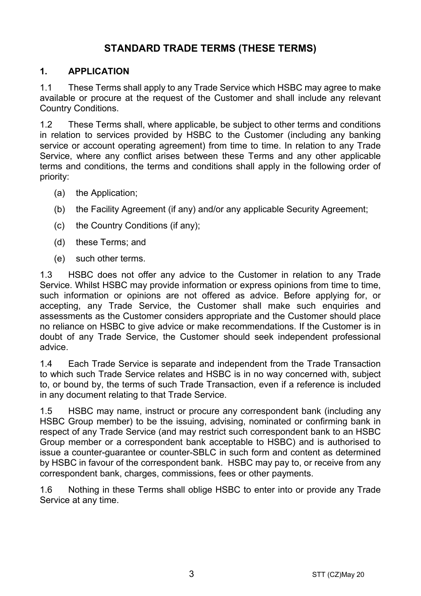## **STANDARD TRADE TERMS (THESE TERMS)**

## **1. APPLICATION**

1.1 These Terms shall apply to any Trade Service which HSBC may agree to make available or procure at the request of the Customer and shall include any relevant Country Conditions.

1.2 These Terms shall, where applicable, be subject to other terms and conditions in relation to services provided by HSBC to the Customer (including any banking service or account operating agreement) from time to time. In relation to any Trade Service, where any conflict arises between these Terms and any other applicable terms and conditions, the terms and conditions shall apply in the following order of priority:

- (a) the Application;
- (b) the Facility Agreement (if any) and/or any applicable Security Agreement;
- (c) the Country Conditions (if any);
- (d) these Terms; and
- (e) such other terms.

1.3 HSBC does not offer any advice to the Customer in relation to any Trade Service. Whilst HSBC may provide information or express opinions from time to time, such information or opinions are not offered as advice. Before applying for, or accepting, any Trade Service, the Customer shall make such enquiries and assessments as the Customer considers appropriate and the Customer should place no reliance on HSBC to give advice or make recommendations. If the Customer is in doubt of any Trade Service, the Customer should seek independent professional advice.

1.4 Each Trade Service is separate and independent from the Trade Transaction to which such Trade Service relates and HSBC is in no way concerned with, subject to, or bound by, the terms of such Trade Transaction, even if a reference is included in any document relating to that Trade Service.

1.5 HSBC may name, instruct or procure any correspondent bank (including any HSBC Group member) to be the issuing, advising, nominated or confirming bank in respect of any Trade Service (and may restrict such correspondent bank to an HSBC Group member or a correspondent bank acceptable to HSBC) and is authorised to issue a counter-guarantee or counter-SBLC in such form and content as determined by HSBC in favour of the correspondent bank. HSBC may pay to, or receive from any correspondent bank, charges, commissions, fees or other payments.

1.6 Nothing in these Terms shall oblige HSBC to enter into or provide any Trade Service at any time.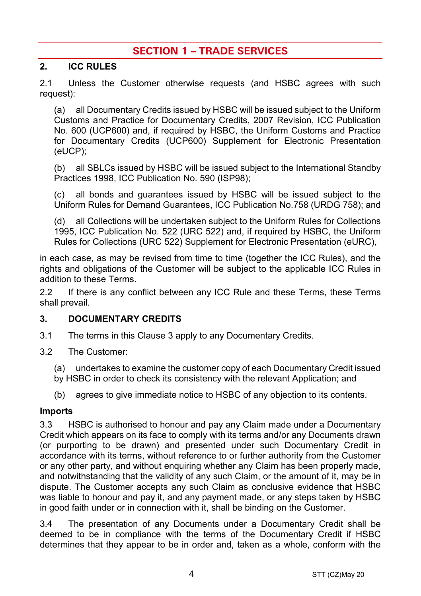## **SECTION 1 – TRADE SERVICES**

## **2. ICC RULES**

2.1 Unless the Customer otherwise requests (and HSBC agrees with such request):

(a) all Documentary Credits issued by HSBC will be issued subject to the Uniform Customs and Practice for Documentary Credits, 2007 Revision, ICC Publication No. 600 (UCP600) and, if required by HSBC, the Uniform Customs and Practice for Documentary Credits (UCP600) Supplement for Electronic Presentation (eUCP);

(b) all SBLCs issued by HSBC will be issued subject to the International Standby Practices 1998, ICC Publication No. 590 (ISP98);

(c) all bonds and guarantees issued by HSBC will be issued subject to the Uniform Rules for Demand Guarantees, ICC Publication No.758 (URDG 758); and

(d) all Collections will be undertaken subject to the Uniform Rules for Collections 1995, ICC Publication No. 522 (URC 522) and, if required by HSBC, the Uniform Rules for Collections (URC 522) Supplement for Electronic Presentation (eURC),

in each case, as may be revised from time to time (together the ICC Rules), and the rights and obligations of the Customer will be subject to the applicable ICC Rules in addition to these Terms.

2.2 If there is any conflict between any ICC Rule and these Terms, these Terms shall prevail.

## **3. DOCUMENTARY CREDITS**

- 3.1 The terms in this Clause 3 apply to any Documentary Credits.
- 3.2 The Customer:

(a) undertakes to examine the customer copy of each Documentary Credit issued by HSBC in order to check its consistency with the relevant Application; and

(b) agrees to give immediate notice to HSBC of any objection to its contents.

#### **Imports**

3.3 HSBC is authorised to honour and pay any Claim made under a Documentary Credit which appears on its face to comply with its terms and/or any Documents drawn (or purporting to be drawn) and presented under such Documentary Credit in accordance with its terms, without reference to or further authority from the Customer or any other party, and without enquiring whether any Claim has been properly made, and notwithstanding that the validity of any such Claim, or the amount of it, may be in dispute. The Customer accepts any such Claim as conclusive evidence that HSBC was liable to honour and pay it, and any payment made, or any steps taken by HSBC in good faith under or in connection with it, shall be binding on the Customer.

3.4 The presentation of any Documents under a Documentary Credit shall be deemed to be in compliance with the terms of the Documentary Credit if HSBC determines that they appear to be in order and, taken as a whole, conform with the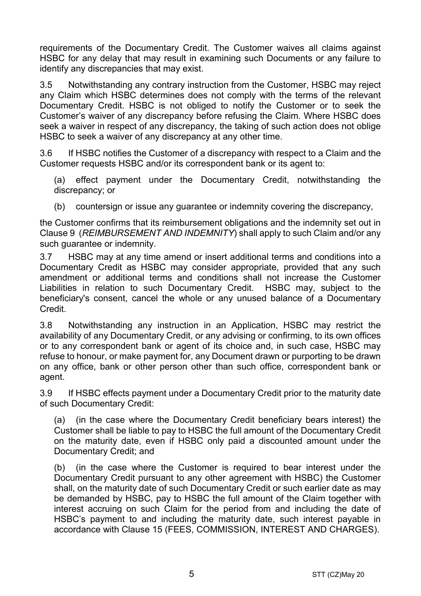requirements of the Documentary Credit. The Customer waives all claims against HSBC for any delay that may result in examining such Documents or any failure to identify any discrepancies that may exist.

3.5 Notwithstanding any contrary instruction from the Customer, HSBC may reject any Claim which HSBC determines does not comply with the terms of the relevant Documentary Credit. HSBC is not obliged to notify the Customer or to seek the Customer's waiver of any discrepancy before refusing the Claim. Where HSBC does seek a waiver in respect of any discrepancy, the taking of such action does not oblige HSBC to seek a waiver of any discrepancy at any other time.

3.6 If HSBC notifies the Customer of a discrepancy with respect to a Claim and the Customer requests HSBC and/or its correspondent bank or its agent to:

(a) effect payment under the Documentary Credit, notwithstanding the discrepancy; or

(b) countersign or issue any quarantee or indemnity covering the discrepancy,

the Customer confirms that its reimbursement obligations and the indemnity set out in Clause 9 (*REIMBURSEMENT AND INDEMNITY*) shall apply to such Claim and/or any such guarantee or indemnity.

3.7 HSBC may at any time amend or insert additional terms and conditions into a Documentary Credit as HSBC may consider appropriate, provided that any such amendment or additional terms and conditions shall not increase the Customer Liabilities in relation to such Documentary Credit. HSBC may, subject to the beneficiary's consent, cancel the whole or any unused balance of a Documentary Credit.

3.8 Notwithstanding any instruction in an Application, HSBC may restrict the availability of any Documentary Credit, or any advising or confirming, to its own offices or to any correspondent bank or agent of its choice and, in such case, HSBC may refuse to honour, or make payment for, any Document drawn or purporting to be drawn on any office, bank or other person other than such office, correspondent bank or agent.

3.9 If HSBC effects payment under a Documentary Credit prior to the maturity date of such Documentary Credit:

(a) (in the case where the Documentary Credit beneficiary bears interest) the Customer shall be liable to pay to HSBC the full amount of the Documentary Credit on the maturity date, even if HSBC only paid a discounted amount under the Documentary Credit; and

(b) (in the case where the Customer is required to bear interest under the Documentary Credit pursuant to any other agreement with HSBC) the Customer shall, on the maturity date of such Documentary Credit or such earlier date as may be demanded by HSBC, pay to HSBC the full amount of the Claim together with interest accruing on such Claim for the period from and including the date of HSBC's payment to and including the maturity date, such interest payable in accordance with Clause 15 (FEES, COMMISSION, INTEREST AND CHARGES).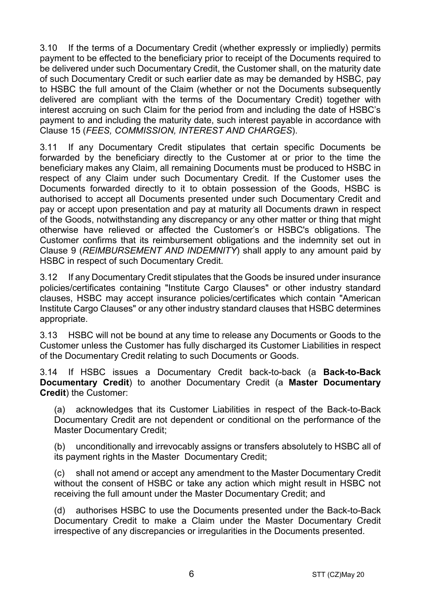3.10 If the terms of a Documentary Credit (whether expressly or impliedly) permits payment to be effected to the beneficiary prior to receipt of the Documents required to be delivered under such Documentary Credit, the Customer shall, on the maturity date of such Documentary Credit or such earlier date as may be demanded by HSBC, pay to HSBC the full amount of the Claim (whether or not the Documents subsequently delivered are compliant with the terms of the Documentary Credit) together with interest accruing on such Claim for the period from and including the date of HSBC's payment to and including the maturity date, such interest payable in accordance with Clause 15 (*FEES, COMMISSION, INTEREST AND CHARGES*).

3.11 If any Documentary Credit stipulates that certain specific Documents be forwarded by the beneficiary directly to the Customer at or prior to the time the beneficiary makes any Claim, all remaining Documents must be produced to HSBC in respect of any Claim under such Documentary Credit. If the Customer uses the Documents forwarded directly to it to obtain possession of the Goods, HSBC is authorised to accept all Documents presented under such Documentary Credit and pay or accept upon presentation and pay at maturity all Documents drawn in respect of the Goods, notwithstanding any discrepancy or any other matter or thing that might otherwise have relieved or affected the Customer's or HSBC's obligations. The Customer confirms that its reimbursement obligations and the indemnity set out in Clause 9 (*REIMBURSEMENT AND INDEMNITY*) shall apply to any amount paid by HSBC in respect of such Documentary Credit.

3.12 If any Documentary Credit stipulates that the Goods be insured under insurance policies/certificates containing "Institute Cargo Clauses" or other industry standard clauses, HSBC may accept insurance policies/certificates which contain "American Institute Cargo Clauses" or any other industry standard clauses that HSBC determines appropriate.

3.13 HSBC will not be bound at any time to release any Documents or Goods to the Customer unless the Customer has fully discharged its Customer Liabilities in respect of the Documentary Credit relating to such Documents or Goods.

3.14 If HSBC issues a Documentary Credit back-to-back (a **Back-to-Back Documentary Credit**) to another Documentary Credit (a **Master Documentary Credit**) the Customer:

(a) acknowledges that its Customer Liabilities in respect of the Back-to-Back Documentary Credit are not dependent or conditional on the performance of the Master Documentary Credit;

(b) unconditionally and irrevocably assigns or transfers absolutely to HSBC all of its payment rights in the Master Documentary Credit;

(c) shall not amend or accept any amendment to the Master Documentary Credit without the consent of HSBC or take any action which might result in HSBC not receiving the full amount under the Master Documentary Credit; and

(d) authorises HSBC to use the Documents presented under the Back-to-Back Documentary Credit to make a Claim under the Master Documentary Credit irrespective of any discrepancies or irregularities in the Documents presented.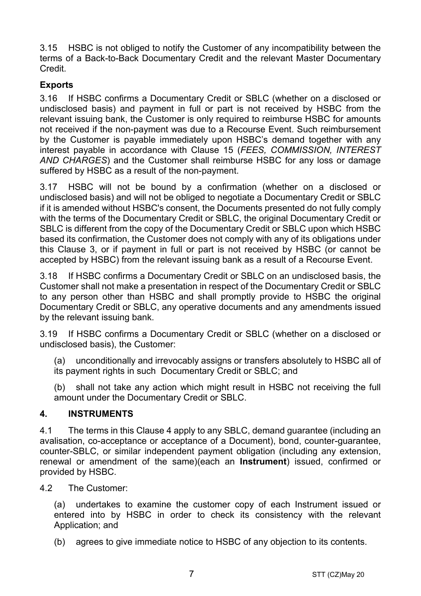3.15 HSBC is not obliged to notify the Customer of any incompatibility between the terms of a Back-to-Back Documentary Credit and the relevant Master Documentary Credit.

## **Exports**

3.16 If HSBC confirms a Documentary Credit or SBLC (whether on a disclosed or undisclosed basis) and payment in full or part is not received by HSBC from the relevant issuing bank, the Customer is only required to reimburse HSBC for amounts not received if the non-payment was due to a Recourse Event. Such reimbursement by the Customer is payable immediately upon HSBC's demand together with any interest payable in accordance with Clause 15 (*FEES, COMMISSION, INTEREST AND CHARGES*) and the Customer shall reimburse HSBC for any loss or damage suffered by HSBC as a result of the non-payment.

3.17 HSBC will not be bound by a confirmation (whether on a disclosed or undisclosed basis) and will not be obliged to negotiate a Documentary Credit or SBLC if it is amended without HSBC's consent, the Documents presented do not fully comply with the terms of the Documentary Credit or SBLC, the original Documentary Credit or SBLC is different from the copy of the Documentary Credit or SBLC upon which HSBC based its confirmation, the Customer does not comply with any of its obligations under this Clause 3, or if payment in full or part is not received by HSBC (or cannot be accepted by HSBC) from the relevant issuing bank as a result of a Recourse Event.

3.18 If HSBC confirms a Documentary Credit or SBLC on an undisclosed basis, the Customer shall not make a presentation in respect of the Documentary Credit or SBLC to any person other than HSBC and shall promptly provide to HSBC the original Documentary Credit or SBLC, any operative documents and any amendments issued by the relevant issuing bank.

3.19 If HSBC confirms a Documentary Credit or SBLC (whether on a disclosed or undisclosed basis), the Customer:

(a) unconditionally and irrevocably assigns or transfers absolutely to HSBC all of its payment rights in such Documentary Credit or SBLC; and

(b) shall not take any action which might result in HSBC not receiving the full amount under the Documentary Credit or SBLC.

## **4. INSTRUMENTS**

4.1 The terms in this Clause 4 apply to any SBLC, demand guarantee (including an avalisation, co-acceptance or acceptance of a Document), bond, counter-guarantee, counter-SBLC, or similar independent payment obligation (including any extension, renewal or amendment of the same)(each an **Instrument**) issued, confirmed or provided by HSBC.

4.2 The Customer:

(a) undertakes to examine the customer copy of each Instrument issued or entered into by HSBC in order to check its consistency with the relevant Application; and

(b) agrees to give immediate notice to HSBC of any objection to its contents.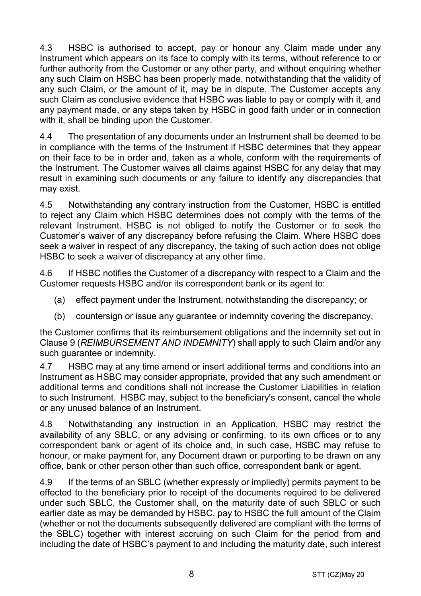4.3 HSBC is authorised to accept, pay or honour any Claim made under any Instrument which appears on its face to comply with its terms, without reference to or further authority from the Customer or any other party, and without enquiring whether any such Claim on HSBC has been properly made, notwithstanding that the validity of any such Claim, or the amount of it, may be in dispute. The Customer accepts any such Claim as conclusive evidence that HSBC was liable to pay or comply with it, and any payment made, or any steps taken by HSBC in good faith under or in connection with it, shall be binding upon the Customer.

4.4 The presentation of any documents under an Instrument shall be deemed to be in compliance with the terms of the Instrument if HSBC determines that they appear on their face to be in order and, taken as a whole, conform with the requirements of the Instrument. The Customer waives all claims against HSBC for any delay that may result in examining such documents or any failure to identify any discrepancies that may exist.

4.5 Notwithstanding any contrary instruction from the Customer, HSBC is entitled to reject any Claim which HSBC determines does not comply with the terms of the relevant Instrument. HSBC is not obliged to notify the Customer or to seek the Customer's waiver of any discrepancy before refusing the Claim. Where HSBC does seek a waiver in respect of any discrepancy, the taking of such action does not oblige HSBC to seek a waiver of discrepancy at any other time.

4.6 If HSBC notifies the Customer of a discrepancy with respect to a Claim and the Customer requests HSBC and/or its correspondent bank or its agent to:

- (a) effect payment under the Instrument, notwithstanding the discrepancy; or
- (b) countersign or issue any guarantee or indemnity covering the discrepancy,

the Customer confirms that its reimbursement obligations and the indemnity set out in Clause 9 (*REIMBURSEMENT AND INDEMNITY*) shall apply to such Claim and/or any such quarantee or indemnity.

4.7 HSBC may at any time amend or insert additional terms and conditions into an Instrument as HSBC may consider appropriate, provided that any such amendment or additional terms and conditions shall not increase the Customer Liabilities in relation to such Instrument. HSBC may, subject to the beneficiary's consent, cancel the whole or any unused balance of an Instrument.

4.8 Notwithstanding any instruction in an Application, HSBC may restrict the availability of any SBLC, or any advising or confirming, to its own offices or to any correspondent bank or agent of its choice and, in such case, HSBC may refuse to honour, or make payment for, any Document drawn or purporting to be drawn on any office, bank or other person other than such office, correspondent bank or agent.

4.9 If the terms of an SBLC (whether expressly or impliedly) permits payment to be effected to the beneficiary prior to receipt of the documents required to be delivered under such SBLC, the Customer shall, on the maturity date of such SBLC or such earlier date as may be demanded by HSBC, pay to HSBC the full amount of the Claim (whether or not the documents subsequently delivered are compliant with the terms of the SBLC) together with interest accruing on such Claim for the period from and including the date of HSBC's payment to and including the maturity date, such interest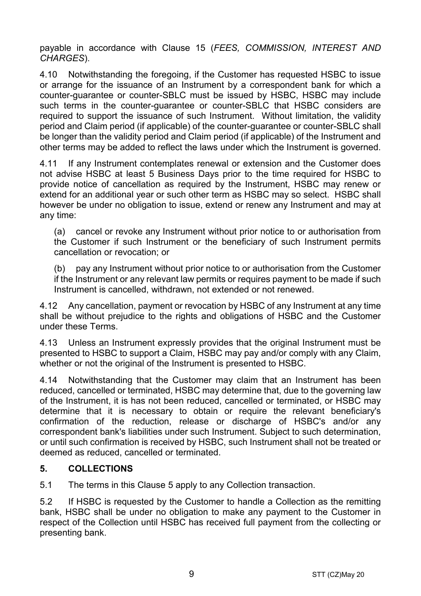payable in accordance with Clause 15 (*FEES, COMMISSION, INTEREST AND CHARGES*).

4.10 Notwithstanding the foregoing, if the Customer has requested HSBC to issue or arrange for the issuance of an Instrument by a correspondent bank for which a counter-guarantee or counter-SBLC must be issued by HSBC, HSBC may include such terms in the counter-guarantee or counter-SBLC that HSBC considers are required to support the issuance of such Instrument. Without limitation, the validity period and Claim period (if applicable) of the counter-guarantee or counter-SBLC shall be longer than the validity period and Claim period (if applicable) of the Instrument and other terms may be added to reflect the laws under which the Instrument is governed.

4.11 If any Instrument contemplates renewal or extension and the Customer does not advise HSBC at least 5 Business Days prior to the time required for HSBC to provide notice of cancellation as required by the Instrument, HSBC may renew or extend for an additional year or such other term as HSBC may so select. HSBC shall however be under no obligation to issue, extend or renew any Instrument and may at any time:

(a) cancel or revoke any Instrument without prior notice to or authorisation from the Customer if such Instrument or the beneficiary of such Instrument permits cancellation or revocation; or

(b) pay any Instrument without prior notice to or authorisation from the Customer if the Instrument or any relevant law permits or requires payment to be made if such Instrument is cancelled, withdrawn, not extended or not renewed.

4.12 Any cancellation, payment or revocation by HSBC of any Instrument at any time shall be without prejudice to the rights and obligations of HSBC and the Customer under these Terms.

4.13 Unless an Instrument expressly provides that the original Instrument must be presented to HSBC to support a Claim, HSBC may pay and/or comply with any Claim, whether or not the original of the Instrument is presented to HSBC.

4.14 Notwithstanding that the Customer may claim that an Instrument has been reduced, cancelled or terminated, HSBC may determine that, due to the governing law of the Instrument, it is has not been reduced, cancelled or terminated, or HSBC may determine that it is necessary to obtain or require the relevant beneficiary's confirmation of the reduction, release or discharge of HSBC's and/or any correspondent bank's liabilities under such Instrument. Subject to such determination, or until such confirmation is received by HSBC, such Instrument shall not be treated or deemed as reduced, cancelled or terminated.

## **5. COLLECTIONS**

5.1 The terms in this Clause 5 apply to any Collection transaction.

5.2 If HSBC is requested by the Customer to handle a Collection as the remitting bank, HSBC shall be under no obligation to make any payment to the Customer in respect of the Collection until HSBC has received full payment from the collecting or presenting bank.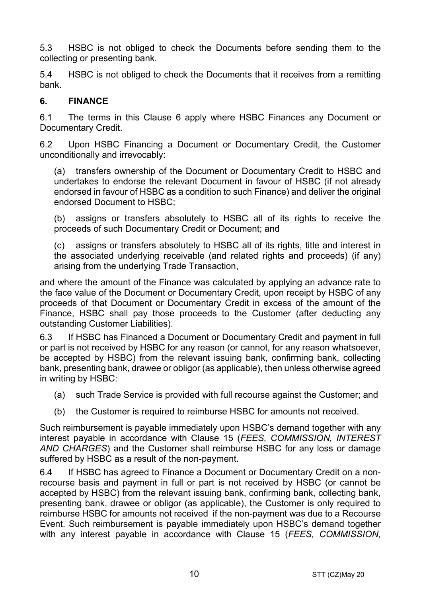5.3 HSBC is not obliged to check the Documents before sending them to the collecting or presenting bank.

5.4 HSBC is not obliged to check the Documents that it receives from a remitting bank.

#### **6. FINANCE**

6.1 The terms in this Clause 6 apply where HSBC Finances any Document or Documentary Credit.

6.2 Upon HSBC Financing a Document or Documentary Credit, the Customer unconditionally and irrevocably:

(a) transfers ownership of the Document or Documentary Credit to HSBC and undertakes to endorse the relevant Document in favour of HSBC (if not already endorsed in favour of HSBC as a condition to such Finance) and deliver the original endorsed Document to HSBC;

(b) assigns or transfers absolutely to HSBC all of its rights to receive the proceeds of such Documentary Credit or Document; and

(c) assigns or transfers absolutely to HSBC all of its rights, title and interest in the associated underlying receivable (and related rights and proceeds) (if any) arising from the underlying Trade Transaction,

and where the amount of the Finance was calculated by applying an advance rate to the face value of the Document or Documentary Credit, upon receipt by HSBC of any proceeds of that Document or Documentary Credit in excess of the amount of the Finance, HSBC shall pay those proceeds to the Customer (after deducting any outstanding Customer Liabilities).

6.3 If HSBC has Financed a Document or Documentary Credit and payment in full or part is not received by HSBC for any reason (or cannot, for any reason whatsoever, be accepted by HSBC) from the relevant issuing bank, confirming bank, collecting bank, presenting bank, drawee or obligor (as applicable), then unless otherwise agreed in writing by HSBC:

- (a) such Trade Service is provided with full recourse against the Customer; and
- (b) the Customer is required to reimburse HSBC for amounts not received.

Such reimbursement is payable immediately upon HSBC's demand together with any interest payable in accordance with Clause 15 (*FEES, COMMISSION, INTEREST AND CHARGES*) and the Customer shall reimburse HSBC for any loss or damage suffered by HSBC as a result of the non-payment.

6.4 If HSBC has agreed to Finance a Document or Documentary Credit on a nonrecourse basis and payment in full or part is not received by HSBC (or cannot be accepted by HSBC) from the relevant issuing bank, confirming bank, collecting bank, presenting bank, drawee or obligor (as applicable), the Customer is only required to reimburse HSBC for amounts not received if the non-payment was due to a Recourse Event. Such reimbursement is payable immediately upon HSBC's demand together with any interest payable in accordance with Clause 15 (*FEES, COMMISSION,*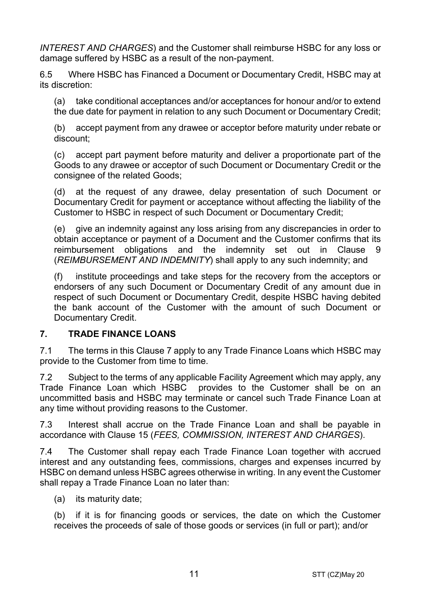*INTEREST AND CHARGES*) and the Customer shall reimburse HSBC for any loss or damage suffered by HSBC as a result of the non-payment.

6.5 Where HSBC has Financed a Document or Documentary Credit, HSBC may at its discretion:

(a) take conditional acceptances and/or acceptances for honour and/or to extend the due date for payment in relation to any such Document or Documentary Credit;

(b) accept payment from any drawee or acceptor before maturity under rebate or discount;

(c) accept part payment before maturity and deliver a proportionate part of the Goods to any drawee or acceptor of such Document or Documentary Credit or the consignee of the related Goods;

(d) at the request of any drawee, delay presentation of such Document or Documentary Credit for payment or acceptance without affecting the liability of the Customer to HSBC in respect of such Document or Documentary Credit;

(e) give an indemnity against any loss arising from any discrepancies in order to obtain acceptance or payment of a Document and the Customer confirms that its reimbursement obligations and the indemnity set out in Clause 9 (*REIMBURSEMENT AND INDEMNITY*) shall apply to any such indemnity; and

(f) institute proceedings and take steps for the recovery from the acceptors or endorsers of any such Document or Documentary Credit of any amount due in respect of such Document or Documentary Credit, despite HSBC having debited the bank account of the Customer with the amount of such Document or Documentary Credit.

## **7. TRADE FINANCE LOANS**

7.1 The terms in this Clause 7 apply to any Trade Finance Loans which HSBC may provide to the Customer from time to time.

7.2 Subject to the terms of any applicable Facility Agreement which may apply, any Trade Finance Loan which HSBC provides to the Customer shall be on an uncommitted basis and HSBC may terminate or cancel such Trade Finance Loan at any time without providing reasons to the Customer.

7.3 Interest shall accrue on the Trade Finance Loan and shall be payable in accordance with Clause 15 (*FEES, COMMISSION, INTEREST AND CHARGES*).

7.4 The Customer shall repay each Trade Finance Loan together with accrued interest and any outstanding fees, commissions, charges and expenses incurred by HSBC on demand unless HSBC agrees otherwise in writing. In any event the Customer shall repay a Trade Finance Loan no later than:

(a) its maturity date;

(b) if it is for financing goods or services, the date on which the Customer receives the proceeds of sale of those goods or services (in full or part); and/or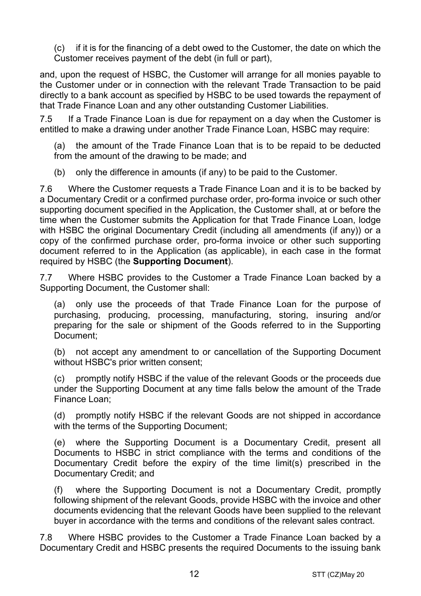(c) if it is for the financing of a debt owed to the Customer, the date on which the Customer receives payment of the debt (in full or part),

and, upon the request of HSBC, the Customer will arrange for all monies payable to the Customer under or in connection with the relevant Trade Transaction to be paid directly to a bank account as specified by HSBC to be used towards the repayment of that Trade Finance Loan and any other outstanding Customer Liabilities.

7.5 If a Trade Finance Loan is due for repayment on a day when the Customer is entitled to make a drawing under another Trade Finance Loan, HSBC may require:

(a) the amount of the Trade Finance Loan that is to be repaid to be deducted from the amount of the drawing to be made; and

(b) only the difference in amounts (if any) to be paid to the Customer.

7.6 Where the Customer requests a Trade Finance Loan and it is to be backed by a Documentary Credit or a confirmed purchase order, pro-forma invoice or such other supporting document specified in the Application, the Customer shall, at or before the time when the Customer submits the Application for that Trade Finance Loan, lodge with HSBC the original Documentary Credit (including all amendments (if any)) or a copy of the confirmed purchase order, pro-forma invoice or other such supporting document referred to in the Application (as applicable), in each case in the format required by HSBC (the **Supporting Document**).

7.7 Where HSBC provides to the Customer a Trade Finance Loan backed by a Supporting Document, the Customer shall:

(a) only use the proceeds of that Trade Finance Loan for the purpose of purchasing, producing, processing, manufacturing, storing, insuring and/or preparing for the sale or shipment of the Goods referred to in the Supporting Document;

(b) not accept any amendment to or cancellation of the Supporting Document without HSBC's prior written consent;

(c) promptly notify HSBC if the value of the relevant Goods or the proceeds due under the Supporting Document at any time falls below the amount of the Trade Finance Loan;

(d) promptly notify HSBC if the relevant Goods are not shipped in accordance with the terms of the Supporting Document;

(e) where the Supporting Document is a Documentary Credit, present all Documents to HSBC in strict compliance with the terms and conditions of the Documentary Credit before the expiry of the time limit(s) prescribed in the Documentary Credit; and

(f) where the Supporting Document is not a Documentary Credit, promptly following shipment of the relevant Goods, provide HSBC with the invoice and other documents evidencing that the relevant Goods have been supplied to the relevant buyer in accordance with the terms and conditions of the relevant sales contract.

7.8 Where HSBC provides to the Customer a Trade Finance Loan backed by a Documentary Credit and HSBC presents the required Documents to the issuing bank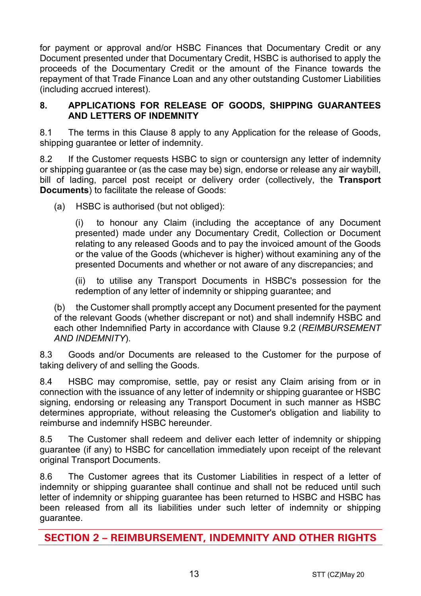for payment or approval and/or HSBC Finances that Documentary Credit or any Document presented under that Documentary Credit, HSBC is authorised to apply the proceeds of the Documentary Credit or the amount of the Finance towards the repayment of that Trade Finance Loan and any other outstanding Customer Liabilities (including accrued interest).

#### **8. APPLICATIONS FOR RELEASE OF GOODS, SHIPPING GUARANTEES AND LETTERS OF INDEMNITY**

8.1 The terms in this Clause 8 apply to any Application for the release of Goods, shipping guarantee or letter of indemnity.

8.2 If the Customer requests HSBC to sign or countersign any letter of indemnity or shipping guarantee or (as the case may be) sign, endorse or release any air waybill, bill of lading, parcel post receipt or delivery order (collectively, the **Transport Documents**) to facilitate the release of Goods:

(a) HSBC is authorised (but not obliged):

(i) to honour any Claim (including the acceptance of any Document presented) made under any Documentary Credit, Collection or Document relating to any released Goods and to pay the invoiced amount of the Goods or the value of the Goods (whichever is higher) without examining any of the presented Documents and whether or not aware of any discrepancies; and

(ii) to utilise any Transport Documents in HSBC's possession for the redemption of any letter of indemnity or shipping guarantee; and

(b) the Customer shall promptly accept any Document presented for the payment of the relevant Goods (whether discrepant or not) and shall indemnify HSBC and each other Indemnified Party in accordance with Clause 9.2 (*REIMBURSEMENT AND INDEMNITY*).

8.3 Goods and/or Documents are released to the Customer for the purpose of taking delivery of and selling the Goods.

8.4 HSBC may compromise, settle, pay or resist any Claim arising from or in connection with the issuance of any letter of indemnity or shipping guarantee or HSBC signing, endorsing or releasing any Transport Document in such manner as HSBC determines appropriate, without releasing the Customer's obligation and liability to reimburse and indemnify HSBC hereunder.

8.5 The Customer shall redeem and deliver each letter of indemnity or shipping guarantee (if any) to HSBC for cancellation immediately upon receipt of the relevant original Transport Documents.

8.6 The Customer agrees that its Customer Liabilities in respect of a letter of indemnity or shipping guarantee shall continue and shall not be reduced until such letter of indemnity or shipping guarantee has been returned to HSBC and HSBC has been released from all its liabilities under such letter of indemnity or shipping guarantee.

**SECTION 2 – REIMBURSEMENT, INDEMNITY AND OTHER RIGHTS**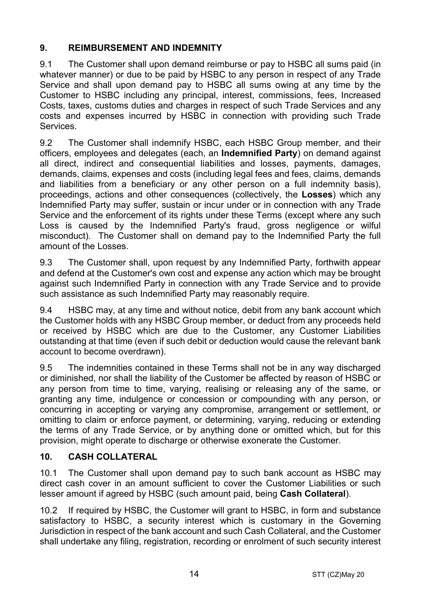## **9. REIMBURSEMENT AND INDEMNITY**

9.1 The Customer shall upon demand reimburse or pay to HSBC all sums paid (in whatever manner) or due to be paid by HSBC to any person in respect of any Trade Service and shall upon demand pay to HSBC all sums owing at any time by the Customer to HSBC including any principal, interest, commissions, fees, Increased Costs, taxes, customs duties and charges in respect of such Trade Services and any costs and expenses incurred by HSBC in connection with providing such Trade Services.

9.2 The Customer shall indemnify HSBC, each HSBC Group member, and their officers, employees and delegates (each, an **Indemnified Party**) on demand against all direct, indirect and consequential liabilities and losses, payments, damages, demands, claims, expenses and costs (including legal fees and fees, claims, demands and liabilities from a beneficiary or any other person on a full indemnity basis), proceedings, actions and other consequences (collectively, the **Losses**) which any Indemnified Party may suffer, sustain or incur under or in connection with any Trade Service and the enforcement of its rights under these Terms (except where any such Loss is caused by the Indemnified Party's fraud, gross negligence or wilful misconduct). The Customer shall on demand pay to the Indemnified Party the full amount of the Losses.

9.3 The Customer shall, upon request by any Indemnified Party, forthwith appear and defend at the Customer's own cost and expense any action which may be brought against such Indemnified Party in connection with any Trade Service and to provide such assistance as such Indemnified Party may reasonably require.

9.4 HSBC may, at any time and without notice, debit from any bank account which the Customer holds with any HSBC Group member, or deduct from any proceeds held or received by HSBC which are due to the Customer, any Customer Liabilities outstanding at that time (even if such debit or deduction would cause the relevant bank account to become overdrawn).

9.5 The indemnities contained in these Terms shall not be in any way discharged or diminished, nor shall the liability of the Customer be affected by reason of HSBC or any person from time to time, varying, realising or releasing any of the same, or granting any time, indulgence or concession or compounding with any person, or concurring in accepting or varying any compromise, arrangement or settlement, or omitting to claim or enforce payment, or determining, varying, reducing or extending the terms of any Trade Service, or by anything done or omitted which, but for this provision, might operate to discharge or otherwise exonerate the Customer.

## **10. CASH COLLATERAL**

10.1 The Customer shall upon demand pay to such bank account as HSBC may direct cash cover in an amount sufficient to cover the Customer Liabilities or such lesser amount if agreed by HSBC (such amount paid, being **Cash Collateral**).

10.2 If required by HSBC, the Customer will grant to HSBC, in form and substance satisfactory to HSBC, a security interest which is customary in the Governing Jurisdiction in respect of the bank account and such Cash Collateral, and the Customer shall undertake any filing, registration, recording or enrolment of such security interest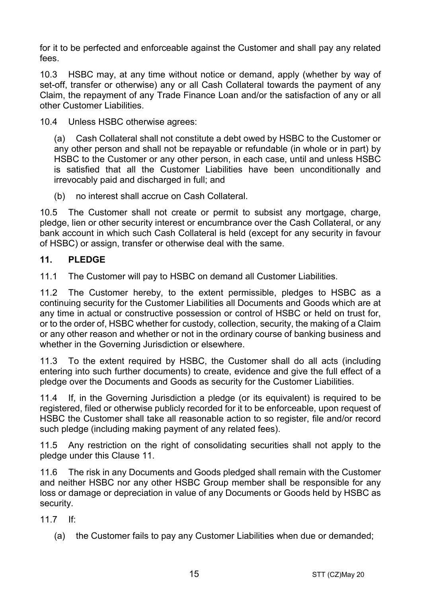for it to be perfected and enforceable against the Customer and shall pay any related fees.

10.3 HSBC may, at any time without notice or demand, apply (whether by way of set-off, transfer or otherwise) any or all Cash Collateral towards the payment of any Claim, the repayment of any Trade Finance Loan and/or the satisfaction of any or all other Customer Liabilities.

10.4 Unless HSBC otherwise agrees:

(a) Cash Collateral shall not constitute a debt owed by HSBC to the Customer or any other person and shall not be repayable or refundable (in whole or in part) by HSBC to the Customer or any other person, in each case, until and unless HSBC is satisfied that all the Customer Liabilities have been unconditionally and irrevocably paid and discharged in full; and

(b) no interest shall accrue on Cash Collateral.

10.5 The Customer shall not create or permit to subsist any mortgage, charge, pledge, lien or other security interest or encumbrance over the Cash Collateral, or any bank account in which such Cash Collateral is held (except for any security in favour of HSBC) or assign, transfer or otherwise deal with the same.

#### **11. PLEDGE**

11.1 The Customer will pay to HSBC on demand all Customer Liabilities.

11.2 The Customer hereby, to the extent permissible, pledges to HSBC as a continuing security for the Customer Liabilities all Documents and Goods which are at any time in actual or constructive possession or control of HSBC or held on trust for, or to the order of, HSBC whether for custody, collection, security, the making of a Claim or any other reason and whether or not in the ordinary course of banking business and whether in the Governing Jurisdiction or elsewhere.

11.3 To the extent required by HSBC, the Customer shall do all acts (including entering into such further documents) to create, evidence and give the full effect of a pledge over the Documents and Goods as security for the Customer Liabilities.

11.4 If, in the Governing Jurisdiction a pledge (or its equivalent) is required to be registered, filed or otherwise publicly recorded for it to be enforceable, upon request of HSBC the Customer shall take all reasonable action to so register, file and/or record such pledge (including making payment of any related fees).

11.5 Any restriction on the right of consolidating securities shall not apply to the pledge under this Clause 11.

11.6 The risk in any Documents and Goods pledged shall remain with the Customer and neither HSBC nor any other HSBC Group member shall be responsible for any loss or damage or depreciation in value of any Documents or Goods held by HSBC as security.

11.7 If:

(a) the Customer fails to pay any Customer Liabilities when due or demanded;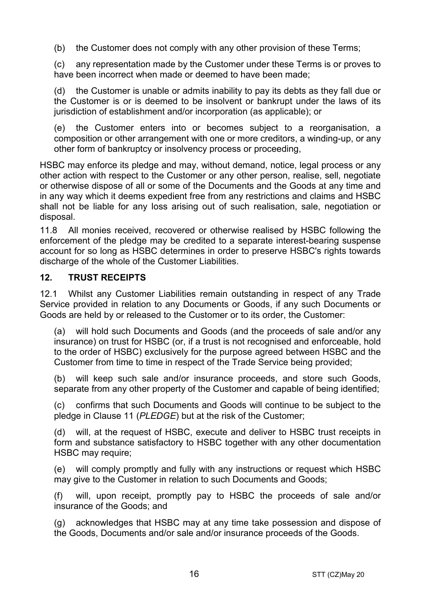(b) the Customer does not comply with any other provision of these Terms;

(c) any representation made by the Customer under these Terms is or proves to have been incorrect when made or deemed to have been made;

(d) the Customer is unable or admits inability to pay its debts as they fall due or the Customer is or is deemed to be insolvent or bankrupt under the laws of its jurisdiction of establishment and/or incorporation (as applicable); or

(e) the Customer enters into or becomes subject to a reorganisation, a composition or other arrangement with one or more creditors, a winding-up, or any other form of bankruptcy or insolvency process or proceeding,

HSBC may enforce its pledge and may, without demand, notice, legal process or any other action with respect to the Customer or any other person, realise, sell, negotiate or otherwise dispose of all or some of the Documents and the Goods at any time and in any way which it deems expedient free from any restrictions and claims and HSBC shall not be liable for any loss arising out of such realisation, sale, negotiation or disposal.

11.8 All monies received, recovered or otherwise realised by HSBC following the enforcement of the pledge may be credited to a separate interest-bearing suspense account for so long as HSBC determines in order to preserve HSBC's rights towards discharge of the whole of the Customer Liabilities.

## **12. TRUST RECEIPTS**

12.1 Whilst any Customer Liabilities remain outstanding in respect of any Trade Service provided in relation to any Documents or Goods, if any such Documents or Goods are held by or released to the Customer or to its order, the Customer:

(a) will hold such Documents and Goods (and the proceeds of sale and/or any insurance) on trust for HSBC (or, if a trust is not recognised and enforceable, hold to the order of HSBC) exclusively for the purpose agreed between HSBC and the Customer from time to time in respect of the Trade Service being provided;

(b) will keep such sale and/or insurance proceeds, and store such Goods, separate from any other property of the Customer and capable of being identified;

(c) confirms that such Documents and Goods will continue to be subject to the pledge in Clause 11 (*PLEDGE*) but at the risk of the Customer;

(d) will, at the request of HSBC, execute and deliver to HSBC trust receipts in form and substance satisfactory to HSBC together with any other documentation HSBC may require;

(e) will comply promptly and fully with any instructions or request which HSBC may give to the Customer in relation to such Documents and Goods;

(f) will, upon receipt, promptly pay to HSBC the proceeds of sale and/or insurance of the Goods; and

(g) acknowledges that HSBC may at any time take possession and dispose of the Goods, Documents and/or sale and/or insurance proceeds of the Goods.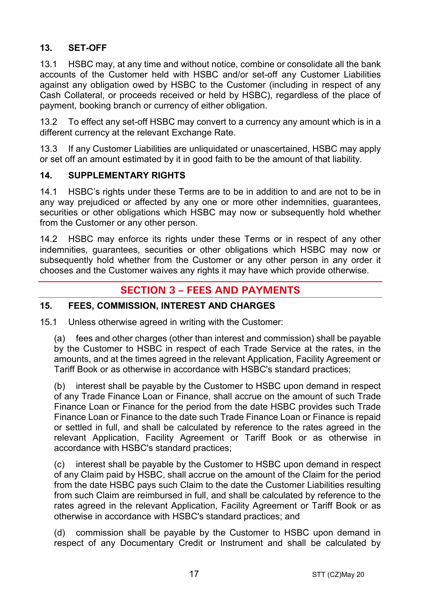## **13. SET-OFF**

13.1 HSBC may, at any time and without notice, combine or consolidate all the bank accounts of the Customer held with HSBC and/or set-off any Customer Liabilities against any obligation owed by HSBC to the Customer (including in respect of any Cash Collateral, or proceeds received or held by HSBC), regardless of the place of payment, booking branch or currency of either obligation.

13.2 To effect any set-off HSBC may convert to a currency any amount which is in a different currency at the relevant Exchange Rate.

13.3 If any Customer Liabilities are unliquidated or unascertained, HSBC may apply or set off an amount estimated by it in good faith to be the amount of that liability.

## **14. SUPPLEMENTARY RIGHTS**

14.1 HSBC's rights under these Terms are to be in addition to and are not to be in any way prejudiced or affected by any one or more other indemnities, guarantees, securities or other obligations which HSBC may now or subsequently hold whether from the Customer or any other person.

14.2 HSBC may enforce its rights under these Terms or in respect of any other indemnities, guarantees, securities or other obligations which HSBC may now or subsequently hold whether from the Customer or any other person in any order it chooses and the Customer waives any rights it may have which provide otherwise.

## **SECTION 3 – FEES AND PAYMENTS**

## **15. FEES, COMMISSION, INTEREST AND CHARGES**

15.1 Unless otherwise agreed in writing with the Customer:

(a) fees and other charges (other than interest and commission) shall be payable by the Customer to HSBC in respect of each Trade Service at the rates, in the amounts, and at the times agreed in the relevant Application, Facility Agreement or Tariff Book or as otherwise in accordance with HSBC's standard practices;

(b) interest shall be payable by the Customer to HSBC upon demand in respect of any Trade Finance Loan or Finance, shall accrue on the amount of such Trade Finance Loan or Finance for the period from the date HSBC provides such Trade Finance Loan or Finance to the date such Trade Finance Loan or Finance is repaid or settled in full, and shall be calculated by reference to the rates agreed in the relevant Application, Facility Agreement or Tariff Book or as otherwise in accordance with HSBC's standard practices;

(c) interest shall be payable by the Customer to HSBC upon demand in respect of any Claim paid by HSBC, shall accrue on the amount of the Claim for the period from the date HSBC pays such Claim to the date the Customer Liabilities resulting from such Claim are reimbursed in full, and shall be calculated by reference to the rates agreed in the relevant Application, Facility Agreement or Tariff Book or as otherwise in accordance with HSBC's standard practices; and

(d) commission shall be payable by the Customer to HSBC upon demand in respect of any Documentary Credit or Instrument and shall be calculated by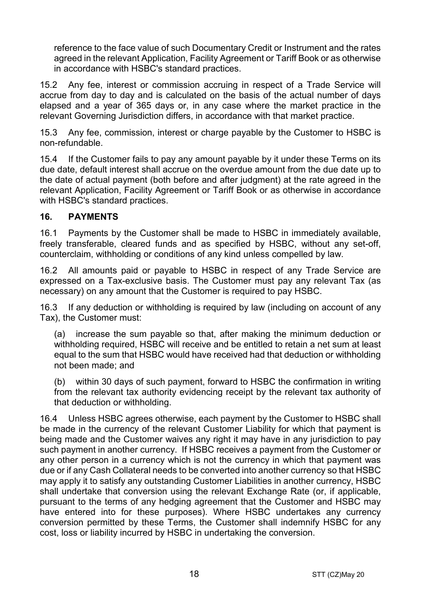reference to the face value of such Documentary Credit or Instrument and the rates agreed in the relevant Application, Facility Agreement or Tariff Book or as otherwise in accordance with HSBC's standard practices.

15.2 Any fee, interest or commission accruing in respect of a Trade Service will accrue from day to day and is calculated on the basis of the actual number of days elapsed and a year of 365 days or, in any case where the market practice in the relevant Governing Jurisdiction differs, in accordance with that market practice.

15.3 Any fee, commission, interest or charge payable by the Customer to HSBC is non-refundable.

15.4 If the Customer fails to pay any amount payable by it under these Terms on its due date, default interest shall accrue on the overdue amount from the due date up to the date of actual payment (both before and after judgment) at the rate agreed in the relevant Application, Facility Agreement or Tariff Book or as otherwise in accordance with HSBC's standard practices.

## **16. PAYMENTS**

16.1 Payments by the Customer shall be made to HSBC in immediately available, freely transferable, cleared funds and as specified by HSBC, without any set-off, counterclaim, withholding or conditions of any kind unless compelled by law.

16.2 All amounts paid or payable to HSBC in respect of any Trade Service are expressed on a Tax-exclusive basis. The Customer must pay any relevant Tax (as necessary) on any amount that the Customer is required to pay HSBC.

16.3 If any deduction or withholding is required by law (including on account of any Tax), the Customer must:

(a) increase the sum payable so that, after making the minimum deduction or withholding required, HSBC will receive and be entitled to retain a net sum at least equal to the sum that HSBC would have received had that deduction or withholding not been made; and

(b) within 30 days of such payment, forward to HSBC the confirmation in writing from the relevant tax authority evidencing receipt by the relevant tax authority of that deduction or withholding.

16.4 Unless HSBC agrees otherwise, each payment by the Customer to HSBC shall be made in the currency of the relevant Customer Liability for which that payment is being made and the Customer waives any right it may have in any jurisdiction to pay such payment in another currency. If HSBC receives a payment from the Customer or any other person in a currency which is not the currency in which that payment was due or if any Cash Collateral needs to be converted into another currency so that HSBC may apply it to satisfy any outstanding Customer Liabilities in another currency, HSBC shall undertake that conversion using the relevant Exchange Rate (or, if applicable, pursuant to the terms of any hedging agreement that the Customer and HSBC may have entered into for these purposes). Where HSBC undertakes any currency conversion permitted by these Terms, the Customer shall indemnify HSBC for any cost, loss or liability incurred by HSBC in undertaking the conversion.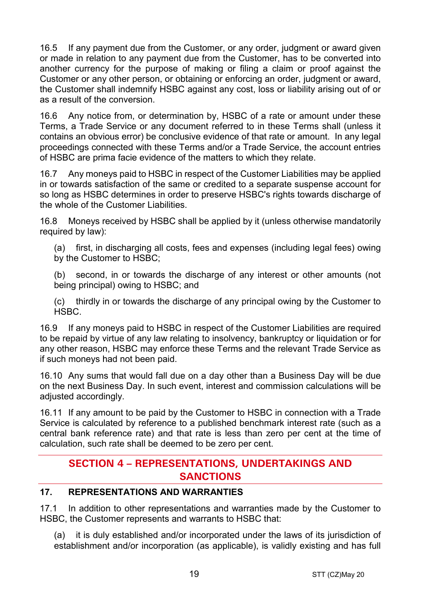16.5 If any payment due from the Customer, or any order, judgment or award given or made in relation to any payment due from the Customer, has to be converted into another currency for the purpose of making or filing a claim or proof against the Customer or any other person, or obtaining or enforcing an order, judgment or award, the Customer shall indemnify HSBC against any cost, loss or liability arising out of or as a result of the conversion.

16.6 Any notice from, or determination by, HSBC of a rate or amount under these Terms, a Trade Service or any document referred to in these Terms shall (unless it contains an obvious error) be conclusive evidence of that rate or amount. In any legal proceedings connected with these Terms and/or a Trade Service, the account entries of HSBC are prima facie evidence of the matters to which they relate.

16.7 Any moneys paid to HSBC in respect of the Customer Liabilities may be applied in or towards satisfaction of the same or credited to a separate suspense account for so long as HSBC determines in order to preserve HSBC's rights towards discharge of the whole of the Customer Liabilities.

16.8 Moneys received by HSBC shall be applied by it (unless otherwise mandatorily required by law):

(a) first, in discharging all costs, fees and expenses (including legal fees) owing by the Customer to HSBC;

(b) second, in or towards the discharge of any interest or other amounts (not being principal) owing to HSBC; and

(c) thirdly in or towards the discharge of any principal owing by the Customer to HSBC.

16.9 If any moneys paid to HSBC in respect of the Customer Liabilities are required to be repaid by virtue of any law relating to insolvency, bankruptcy or liquidation or for any other reason, HSBC may enforce these Terms and the relevant Trade Service as if such moneys had not been paid.

16.10 Any sums that would fall due on a day other than a Business Day will be due on the next Business Day. In such event, interest and commission calculations will be adjusted accordingly.

16.11 If any amount to be paid by the Customer to HSBC in connection with a Trade Service is calculated by reference to a published benchmark interest rate (such as a central bank reference rate) and that rate is less than zero per cent at the time of calculation, such rate shall be deemed to be zero per cent.

## **SECTION 4 – REPRESENTATIONS, UNDERTAKINGS AND SANCTIONS**

## **17. REPRESENTATIONS AND WARRANTIES**

17.1 In addition to other representations and warranties made by the Customer to HSBC, the Customer represents and warrants to HSBC that:

(a) it is duly established and/or incorporated under the laws of its jurisdiction of establishment and/or incorporation (as applicable), is validly existing and has full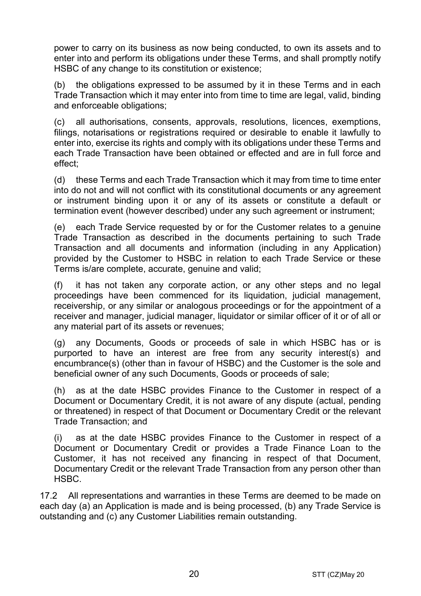power to carry on its business as now being conducted, to own its assets and to enter into and perform its obligations under these Terms, and shall promptly notify HSBC of any change to its constitution or existence;

(b) the obligations expressed to be assumed by it in these Terms and in each Trade Transaction which it may enter into from time to time are legal, valid, binding and enforceable obligations;

(c) all authorisations, consents, approvals, resolutions, licences, exemptions, filings, notarisations or registrations required or desirable to enable it lawfully to enter into, exercise its rights and comply with its obligations under these Terms and each Trade Transaction have been obtained or effected and are in full force and effect;

(d) these Terms and each Trade Transaction which it may from time to time enter into do not and will not conflict with its constitutional documents or any agreement or instrument binding upon it or any of its assets or constitute a default or termination event (however described) under any such agreement or instrument;

(e) each Trade Service requested by or for the Customer relates to a genuine Trade Transaction as described in the documents pertaining to such Trade Transaction and all documents and information (including in any Application) provided by the Customer to HSBC in relation to each Trade Service or these Terms is/are complete, accurate, genuine and valid;

(f) it has not taken any corporate action, or any other steps and no legal proceedings have been commenced for its liquidation, judicial management, receivership, or any similar or analogous proceedings or for the appointment of a receiver and manager, judicial manager, liquidator or similar officer of it or of all or any material part of its assets or revenues;

(g) any Documents, Goods or proceeds of sale in which HSBC has or is purported to have an interest are free from any security interest(s) and encumbrance(s) (other than in favour of HSBC) and the Customer is the sole and beneficial owner of any such Documents, Goods or proceeds of sale;

(h) as at the date HSBC provides Finance to the Customer in respect of a Document or Documentary Credit, it is not aware of any dispute (actual, pending or threatened) in respect of that Document or Documentary Credit or the relevant Trade Transaction; and

(i) as at the date HSBC provides Finance to the Customer in respect of a Document or Documentary Credit or provides a Trade Finance Loan to the Customer, it has not received any financing in respect of that Document, Documentary Credit or the relevant Trade Transaction from any person other than HSBC.

17.2 All representations and warranties in these Terms are deemed to be made on each day (a) an Application is made and is being processed, (b) any Trade Service is outstanding and (c) any Customer Liabilities remain outstanding.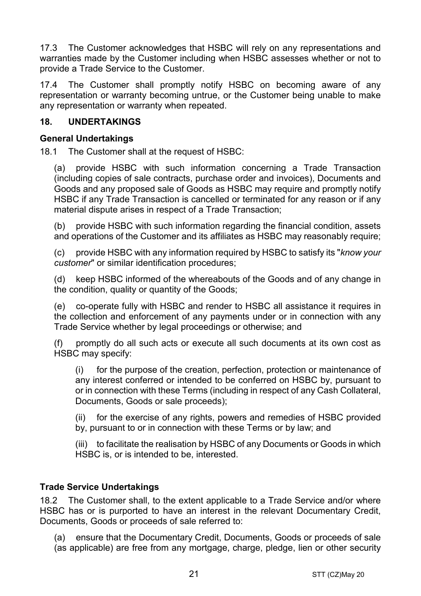17.3 The Customer acknowledges that HSBC will rely on any representations and warranties made by the Customer including when HSBC assesses whether or not to provide a Trade Service to the Customer.

17.4 The Customer shall promptly notify HSBC on becoming aware of any representation or warranty becoming untrue, or the Customer being unable to make any representation or warranty when repeated.

## **18. UNDERTAKINGS**

#### **General Undertakings**

18.1 The Customer shall at the request of HSBC:

(a) provide HSBC with such information concerning a Trade Transaction (including copies of sale contracts, purchase order and invoices), Documents and Goods and any proposed sale of Goods as HSBC may require and promptly notify HSBC if any Trade Transaction is cancelled or terminated for any reason or if any material dispute arises in respect of a Trade Transaction;

(b) provide HSBC with such information regarding the financial condition, assets and operations of the Customer and its affiliates as HSBC may reasonably require;

(c) provide HSBC with any information required by HSBC to satisfy its "*know your customer*" or similar identification procedures;

(d) keep HSBC informed of the whereabouts of the Goods and of any change in the condition, quality or quantity of the Goods;

(e) co-operate fully with HSBC and render to HSBC all assistance it requires in the collection and enforcement of any payments under or in connection with any Trade Service whether by legal proceedings or otherwise; and

(f) promptly do all such acts or execute all such documents at its own cost as HSBC may specify:

(i) for the purpose of the creation, perfection, protection or maintenance of any interest conferred or intended to be conferred on HSBC by, pursuant to or in connection with these Terms (including in respect of any Cash Collateral, Documents, Goods or sale proceeds);

(ii) for the exercise of any rights, powers and remedies of HSBC provided by, pursuant to or in connection with these Terms or by law; and

(iii) to facilitate the realisation by HSBC of any Documents or Goods in which HSBC is, or is intended to be, interested.

## **Trade Service Undertakings**

18.2 The Customer shall, to the extent applicable to a Trade Service and/or where HSBC has or is purported to have an interest in the relevant Documentary Credit, Documents, Goods or proceeds of sale referred to:

(a) ensure that the Documentary Credit, Documents, Goods or proceeds of sale (as applicable) are free from any mortgage, charge, pledge, lien or other security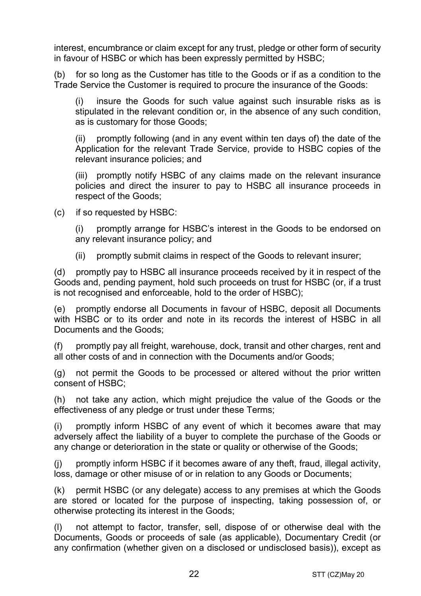interest, encumbrance or claim except for any trust, pledge or other form of security in favour of HSBC or which has been expressly permitted by HSBC;

(b) for so long as the Customer has title to the Goods or if as a condition to the Trade Service the Customer is required to procure the insurance of the Goods:

(i) insure the Goods for such value against such insurable risks as is stipulated in the relevant condition or, in the absence of any such condition, as is customary for those Goods;

(ii) promptly following (and in any event within ten days of) the date of the Application for the relevant Trade Service, provide to HSBC copies of the relevant insurance policies; and

(iii) promptly notify HSBC of any claims made on the relevant insurance policies and direct the insurer to pay to HSBC all insurance proceeds in respect of the Goods;

(c) if so requested by HSBC:

(i) promptly arrange for HSBC's interest in the Goods to be endorsed on any relevant insurance policy; and

(ii) promptly submit claims in respect of the Goods to relevant insurer;

(d) promptly pay to HSBC all insurance proceeds received by it in respect of the Goods and, pending payment, hold such proceeds on trust for HSBC (or, if a trust is not recognised and enforceable, hold to the order of HSBC);

(e) promptly endorse all Documents in favour of HSBC, deposit all Documents with HSBC or to its order and note in its records the interest of HSBC in all Documents and the Goods;

(f) promptly pay all freight, warehouse, dock, transit and other charges, rent and all other costs of and in connection with the Documents and/or Goods;

(g) not permit the Goods to be processed or altered without the prior written consent of HSBC;

(h) not take any action, which might prejudice the value of the Goods or the effectiveness of any pledge or trust under these Terms;

(i) promptly inform HSBC of any event of which it becomes aware that may adversely affect the liability of a buyer to complete the purchase of the Goods or any change or deterioration in the state or quality or otherwise of the Goods;

(j) promptly inform HSBC if it becomes aware of any theft, fraud, illegal activity, loss, damage or other misuse of or in relation to any Goods or Documents;

(k) permit HSBC (or any delegate) access to any premises at which the Goods are stored or located for the purpose of inspecting, taking possession of, or otherwise protecting its interest in the Goods;

(l) not attempt to factor, transfer, sell, dispose of or otherwise deal with the Documents, Goods or proceeds of sale (as applicable), Documentary Credit (or any confirmation (whether given on a disclosed or undisclosed basis)), except as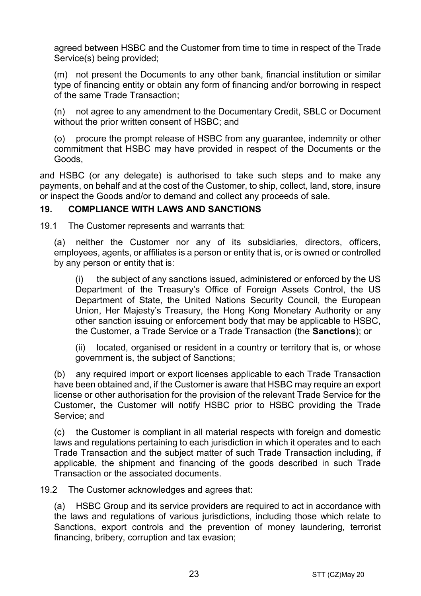agreed between HSBC and the Customer from time to time in respect of the Trade Service(s) being provided;

(m) not present the Documents to any other bank, financial institution or similar type of financing entity or obtain any form of financing and/or borrowing in respect of the same Trade Transaction;

(n) not agree to any amendment to the Documentary Credit, SBLC or Document without the prior written consent of HSBC; and

(o) procure the prompt release of HSBC from any guarantee, indemnity or other commitment that HSBC may have provided in respect of the Documents or the Goods,

and HSBC (or any delegate) is authorised to take such steps and to make any payments, on behalf and at the cost of the Customer, to ship, collect, land, store, insure or inspect the Goods and/or to demand and collect any proceeds of sale.

## **19. COMPLIANCE WITH LAWS AND SANCTIONS**

19.1 The Customer represents and warrants that:

(a) neither the Customer nor any of its subsidiaries, directors, officers, employees, agents, or affiliates is a person or entity that is, or is owned or controlled by any person or entity that is:

(i) the subject of any sanctions issued, administered or enforced by the US Department of the Treasury's Office of Foreign Assets Control, the US Department of State, the United Nations Security Council, the European Union, Her Majesty's Treasury, the Hong Kong Monetary Authority or any other sanction issuing or enforcement body that may be applicable to HSBC, the Customer, a Trade Service or a Trade Transaction (the **Sanctions**); or

(ii) located, organised or resident in a country or territory that is, or whose government is, the subject of Sanctions;

(b) any required import or export licenses applicable to each Trade Transaction have been obtained and, if the Customer is aware that HSBC may require an export license or other authorisation for the provision of the relevant Trade Service for the Customer, the Customer will notify HSBC prior to HSBC providing the Trade Service; and

(c) the Customer is compliant in all material respects with foreign and domestic laws and regulations pertaining to each jurisdiction in which it operates and to each Trade Transaction and the subject matter of such Trade Transaction including, if applicable, the shipment and financing of the goods described in such Trade Transaction or the associated documents.

19.2 The Customer acknowledges and agrees that:

(a) HSBC Group and its service providers are required to act in accordance with the laws and regulations of various jurisdictions, including those which relate to Sanctions, export controls and the prevention of money laundering, terrorist financing, bribery, corruption and tax evasion;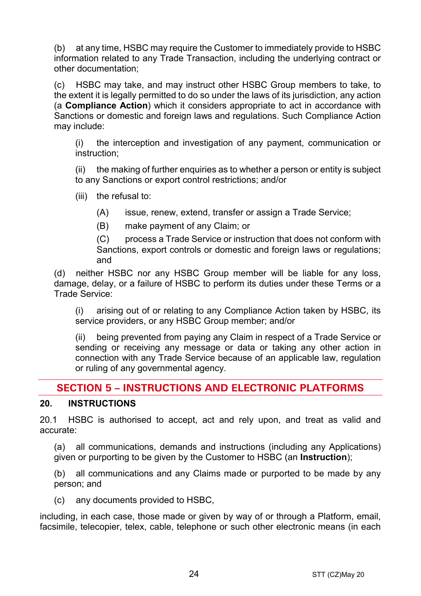(b) at any time, HSBC may require the Customer to immediately provide to HSBC information related to any Trade Transaction, including the underlying contract or other documentation;

(c) HSBC may take, and may instruct other HSBC Group members to take, to the extent it is legally permitted to do so under the laws of its jurisdiction, any action (a **Compliance Action**) which it considers appropriate to act in accordance with Sanctions or domestic and foreign laws and regulations. Such Compliance Action may include:

(i) the interception and investigation of any payment, communication or instruction;

(ii) the making of further enquiries as to whether a person or entity is subject to any Sanctions or export control restrictions; and/or

(iii) the refusal to:

(A) issue, renew, extend, transfer or assign a Trade Service;

(B) make payment of any Claim; or

(C) process a Trade Service or instruction that does not conform with Sanctions, export controls or domestic and foreign laws or regulations; and

(d) neither HSBC nor any HSBC Group member will be liable for any loss, damage, delay, or a failure of HSBC to perform its duties under these Terms or a Trade Service:

(i) arising out of or relating to any Compliance Action taken by HSBC, its service providers, or any HSBC Group member; and/or

(ii) being prevented from paying any Claim in respect of a Trade Service or sending or receiving any message or data or taking any other action in connection with any Trade Service because of an applicable law, regulation or ruling of any governmental agency.

## **SECTION 5 – INSTRUCTIONS AND ELECTRONIC PLATFORMS**

## **20. INSTRUCTIONS**

20.1 HSBC is authorised to accept, act and rely upon, and treat as valid and accurate:

(a) all communications, demands and instructions (including any Applications) given or purporting to be given by the Customer to HSBC (an **Instruction**);

(b) all communications and any Claims made or purported to be made by any person; and

(c) any documents provided to HSBC,

including, in each case, those made or given by way of or through a Platform, email, facsimile, telecopier, telex, cable, telephone or such other electronic means (in each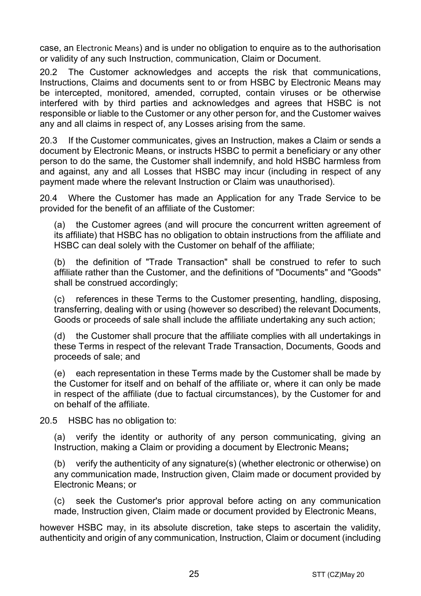case, an Electronic Means) and is under no obligation to enquire as to the authorisation or validity of any such Instruction, communication, Claim or Document.

20.2 The Customer acknowledges and accepts the risk that communications, Instructions, Claims and documents sent to or from HSBC by Electronic Means may be intercepted, monitored, amended, corrupted, contain viruses or be otherwise interfered with by third parties and acknowledges and agrees that HSBC is not responsible or liable to the Customer or any other person for, and the Customer waives any and all claims in respect of, any Losses arising from the same.

20.3 If the Customer communicates, gives an Instruction, makes a Claim or sends a document by Electronic Means, or instructs HSBC to permit a beneficiary or any other person to do the same, the Customer shall indemnify, and hold HSBC harmless from and against, any and all Losses that HSBC may incur (including in respect of any payment made where the relevant Instruction or Claim was unauthorised).

20.4 Where the Customer has made an Application for any Trade Service to be provided for the benefit of an affiliate of the Customer:

(a) the Customer agrees (and will procure the concurrent written agreement of its affiliate) that HSBC has no obligation to obtain instructions from the affiliate and HSBC can deal solely with the Customer on behalf of the affiliate;

(b) the definition of "Trade Transaction" shall be construed to refer to such affiliate rather than the Customer, and the definitions of "Documents" and "Goods" shall be construed accordingly;

(c) references in these Terms to the Customer presenting, handling, disposing, transferring, dealing with or using (however so described) the relevant Documents, Goods or proceeds of sale shall include the affiliate undertaking any such action;

(d) the Customer shall procure that the affiliate complies with all undertakings in these Terms in respect of the relevant Trade Transaction, Documents, Goods and proceeds of sale; and

(e) each representation in these Terms made by the Customer shall be made by the Customer for itself and on behalf of the affiliate or, where it can only be made in respect of the affiliate (due to factual circumstances), by the Customer for and on behalf of the affiliate.

20.5 HSBC has no obligation to:

(a) verify the identity or authority of any person communicating, giving an Instruction, making a Claim or providing a document by Electronic Means**;**

(b) verify the authenticity of any signature(s) (whether electronic or otherwise) on any communication made, Instruction given, Claim made or document provided by Electronic Means; or

(c) seek the Customer's prior approval before acting on any communication made, Instruction given, Claim made or document provided by Electronic Means,

however HSBC may, in its absolute discretion, take steps to ascertain the validity, authenticity and origin of any communication, Instruction, Claim or document (including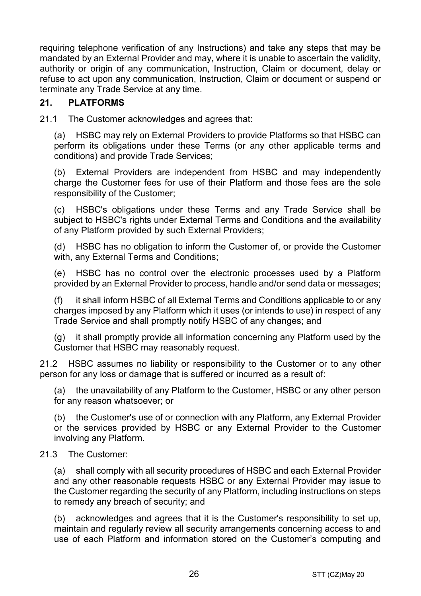requiring telephone verification of any Instructions) and take any steps that may be mandated by an External Provider and may, where it is unable to ascertain the validity, authority or origin of any communication, Instruction, Claim or document, delay or refuse to act upon any communication, Instruction, Claim or document or suspend or terminate any Trade Service at any time.

## **21. PLATFORMS**

21.1 The Customer acknowledges and agrees that:

(a) HSBC may rely on External Providers to provide Platforms so that HSBC can perform its obligations under these Terms (or any other applicable terms and conditions) and provide Trade Services;

(b) External Providers are independent from HSBC and may independently charge the Customer fees for use of their Platform and those fees are the sole responsibility of the Customer;

(c) HSBC's obligations under these Terms and any Trade Service shall be subject to HSBC's rights under External Terms and Conditions and the availability of any Platform provided by such External Providers;

(d) HSBC has no obligation to inform the Customer of, or provide the Customer with, any External Terms and Conditions;

(e) HSBC has no control over the electronic processes used by a Platform provided by an External Provider to process, handle and/or send data or messages;

(f) it shall inform HSBC of all External Terms and Conditions applicable to or any charges imposed by any Platform which it uses (or intends to use) in respect of any Trade Service and shall promptly notify HSBC of any changes; and

(g) it shall promptly provide all information concerning any Platform used by the Customer that HSBC may reasonably request.

21.2 HSBC assumes no liability or responsibility to the Customer or to any other person for any loss or damage that is suffered or incurred as a result of:

(a) the unavailability of any Platform to the Customer, HSBC or any other person for any reason whatsoever; or

(b) the Customer's use of or connection with any Platform, any External Provider or the services provided by HSBC or any External Provider to the Customer involving any Platform.

## 21.3 The Customer:

(a) shall comply with all security procedures of HSBC and each External Provider and any other reasonable requests HSBC or any External Provider may issue to the Customer regarding the security of any Platform, including instructions on steps to remedy any breach of security; and

(b) acknowledges and agrees that it is the Customer's responsibility to set up, maintain and regularly review all security arrangements concerning access to and use of each Platform and information stored on the Customer's computing and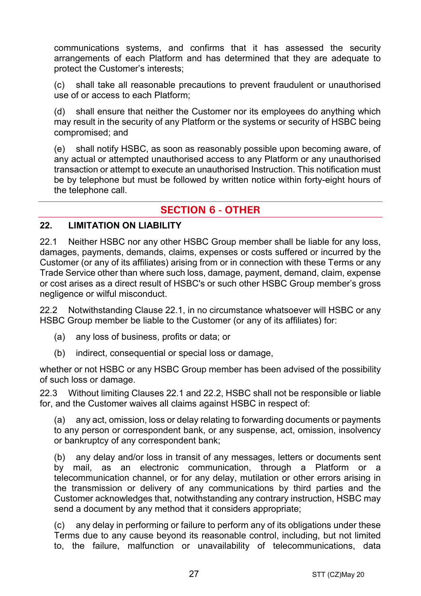communications systems, and confirms that it has assessed the security arrangements of each Platform and has determined that they are adequate to protect the Customer's interests;

(c) shall take all reasonable precautions to prevent fraudulent or unauthorised use of or access to each Platform;

(d) shall ensure that neither the Customer nor its employees do anything which may result in the security of any Platform or the systems or security of HSBC being compromised; and

(e) shall notify HSBC, as soon as reasonably possible upon becoming aware, of any actual or attempted unauthorised access to any Platform or any unauthorised transaction or attempt to execute an unauthorised Instruction. This notification must be by telephone but must be followed by written notice within forty-eight hours of the telephone call.

## **SECTION 6 - OTHER**

#### **22. LIMITATION ON LIABILITY**

22.1 Neither HSBC nor any other HSBC Group member shall be liable for any loss, damages, payments, demands, claims, expenses or costs suffered or incurred by the Customer (or any of its affiliates) arising from or in connection with these Terms or any Trade Service other than where such loss, damage, payment, demand, claim, expense or cost arises as a direct result of HSBC's or such other HSBC Group member's gross negligence or wilful misconduct.

22.2 Notwithstanding Clause 22.1, in no circumstance whatsoever will HSBC or any HSBC Group member be liable to the Customer (or any of its affiliates) for:

- (a) any loss of business, profits or data; or
- (b) indirect, consequential or special loss or damage,

whether or not HSBC or any HSBC Group member has been advised of the possibility of such loss or damage.

22.3 Without limiting Clauses 22.1 and 22.2, HSBC shall not be responsible or liable for, and the Customer waives all claims against HSBC in respect of:

(a) any act, omission, loss or delay relating to forwarding documents or payments to any person or correspondent bank, or any suspense, act, omission, insolvency or bankruptcy of any correspondent bank;

(b) any delay and/or loss in transit of any messages, letters or documents sent by mail, as an electronic communication, through a Platform or a telecommunication channel, or for any delay, mutilation or other errors arising in the transmission or delivery of any communications by third parties and the Customer acknowledges that, notwithstanding any contrary instruction, HSBC may send a document by any method that it considers appropriate;

(c) any delay in performing or failure to perform any of its obligations under these Terms due to any cause beyond its reasonable control, including, but not limited to, the failure, malfunction or unavailability of telecommunications, data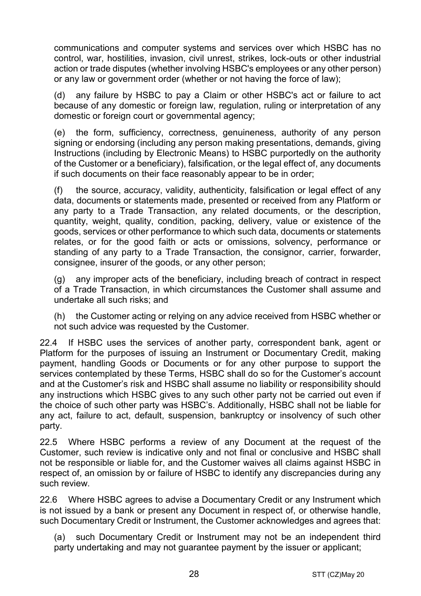communications and computer systems and services over which HSBC has no control, war, hostilities, invasion, civil unrest, strikes, lock-outs or other industrial action or trade disputes (whether involving HSBC's employees or any other person) or any law or government order (whether or not having the force of law);

(d) any failure by HSBC to pay a Claim or other HSBC's act or failure to act because of any domestic or foreign law, regulation, ruling or interpretation of any domestic or foreign court or governmental agency;

(e) the form, sufficiency, correctness, genuineness, authority of any person signing or endorsing (including any person making presentations, demands, giving Instructions (including by Electronic Means) to HSBC purportedly on the authority of the Customer or a beneficiary), falsification, or the legal effect of, any documents if such documents on their face reasonably appear to be in order;

(f) the source, accuracy, validity, authenticity, falsification or legal effect of any data, documents or statements made, presented or received from any Platform or any party to a Trade Transaction, any related documents, or the description, quantity, weight, quality, condition, packing, delivery, value or existence of the goods, services or other performance to which such data, documents or statements relates, or for the good faith or acts or omissions, solvency, performance or standing of any party to a Trade Transaction, the consignor, carrier, forwarder, consignee, insurer of the goods, or any other person;

(g) any improper acts of the beneficiary, including breach of contract in respect of a Trade Transaction, in which circumstances the Customer shall assume and undertake all such risks; and

(h) the Customer acting or relying on any advice received from HSBC whether or not such advice was requested by the Customer.

22.4 If HSBC uses the services of another party, correspondent bank, agent or Platform for the purposes of issuing an Instrument or Documentary Credit, making payment, handling Goods or Documents or for any other purpose to support the services contemplated by these Terms, HSBC shall do so for the Customer's account and at the Customer's risk and HSBC shall assume no liability or responsibility should any instructions which HSBC gives to any such other party not be carried out even if the choice of such other party was HSBC's. Additionally, HSBC shall not be liable for any act, failure to act, default, suspension, bankruptcy or insolvency of such other party.

22.5 Where HSBC performs a review of any Document at the request of the Customer, such review is indicative only and not final or conclusive and HSBC shall not be responsible or liable for, and the Customer waives all claims against HSBC in respect of, an omission by or failure of HSBC to identify any discrepancies during any such review.

22.6 Where HSBC agrees to advise a Documentary Credit or any Instrument which is not issued by a bank or present any Document in respect of, or otherwise handle, such Documentary Credit or Instrument, the Customer acknowledges and agrees that:

(a) such Documentary Credit or Instrument may not be an independent third party undertaking and may not guarantee payment by the issuer or applicant;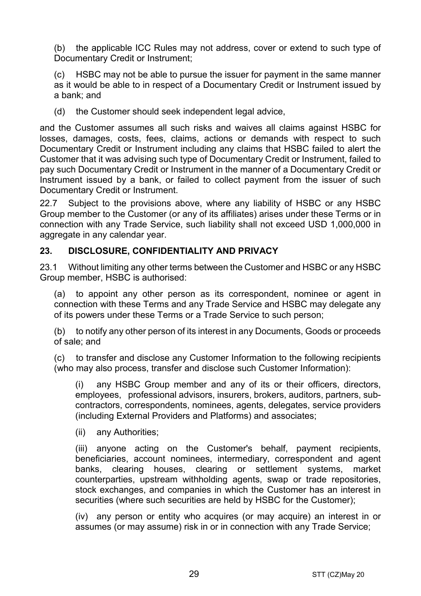(b) the applicable ICC Rules may not address, cover or extend to such type of Documentary Credit or Instrument;

(c) HSBC may not be able to pursue the issuer for payment in the same manner as it would be able to in respect of a Documentary Credit or Instrument issued by a bank; and

(d) the Customer should seek independent legal advice,

and the Customer assumes all such risks and waives all claims against HSBC for losses, damages, costs, fees, claims, actions or demands with respect to such Documentary Credit or Instrument including any claims that HSBC failed to alert the Customer that it was advising such type of Documentary Credit or Instrument, failed to pay such Documentary Credit or Instrument in the manner of a Documentary Credit or Instrument issued by a bank, or failed to collect payment from the issuer of such Documentary Credit or Instrument.

22.7 Subject to the provisions above, where any liability of HSBC or any HSBC Group member to the Customer (or any of its affiliates) arises under these Terms or in connection with any Trade Service, such liability shall not exceed USD 1,000,000 in aggregate in any calendar year.

## **23. DISCLOSURE, CONFIDENTIALITY AND PRIVACY**

23.1 Without limiting any other terms between the Customer and HSBC or any HSBC Group member, HSBC is authorised:

(a) to appoint any other person as its correspondent, nominee or agent in connection with these Terms and any Trade Service and HSBC may delegate any of its powers under these Terms or a Trade Service to such person;

(b) to notify any other person of its interest in any Documents, Goods or proceeds of sale; and

(c) to transfer and disclose any Customer Information to the following recipients (who may also process, transfer and disclose such Customer Information):

(i) any HSBC Group member and any of its or their officers, directors, employees, professional advisors, insurers, brokers, auditors, partners, subcontractors, correspondents, nominees, agents, delegates, service providers (including External Providers and Platforms) and associates;

(ii) any Authorities;

(iii) anyone acting on the Customer's behalf, payment recipients, beneficiaries, account nominees, intermediary, correspondent and agent banks, clearing houses, clearing or settlement systems, market counterparties, upstream withholding agents, swap or trade repositories, stock exchanges, and companies in which the Customer has an interest in securities (where such securities are held by HSBC for the Customer);

(iv) any person or entity who acquires (or may acquire) an interest in or assumes (or may assume) risk in or in connection with any Trade Service;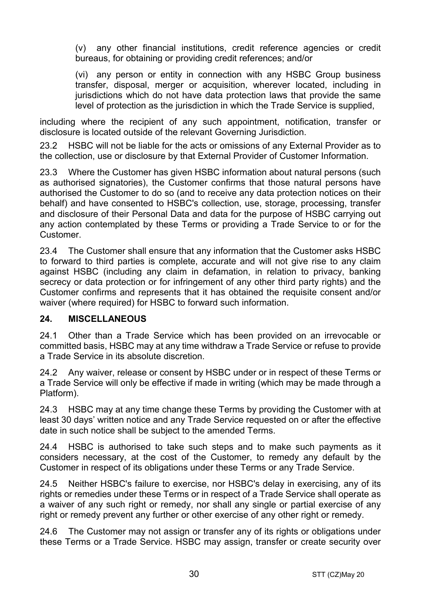(v) any other financial institutions, credit reference agencies or credit bureaus, for obtaining or providing credit references; and/or

(vi) any person or entity in connection with any HSBC Group business transfer, disposal, merger or acquisition, wherever located, including in jurisdictions which do not have data protection laws that provide the same level of protection as the jurisdiction in which the Trade Service is supplied,

including where the recipient of any such appointment, notification, transfer or disclosure is located outside of the relevant Governing Jurisdiction.

23.2 HSBC will not be liable for the acts or omissions of any External Provider as to the collection, use or disclosure by that External Provider of Customer Information.

23.3 Where the Customer has given HSBC information about natural persons (such as authorised signatories), the Customer confirms that those natural persons have authorised the Customer to do so (and to receive any data protection notices on their behalf) and have consented to HSBC's collection, use, storage, processing, transfer and disclosure of their Personal Data and data for the purpose of HSBC carrying out any action contemplated by these Terms or providing a Trade Service to or for the Customer.

23.4 The Customer shall ensure that any information that the Customer asks HSBC to forward to third parties is complete, accurate and will not give rise to any claim against HSBC (including any claim in defamation, in relation to privacy, banking secrecy or data protection or for infringement of any other third party rights) and the Customer confirms and represents that it has obtained the requisite consent and/or waiver (where required) for HSBC to forward such information.

## **24. MISCELLANEOUS**

24.1 Other than a Trade Service which has been provided on an irrevocable or committed basis, HSBC may at any time withdraw a Trade Service or refuse to provide a Trade Service in its absolute discretion.

24.2 Any waiver, release or consent by HSBC under or in respect of these Terms or a Trade Service will only be effective if made in writing (which may be made through a Platform).

24.3 HSBC may at any time change these Terms by providing the Customer with at least 30 days' written notice and any Trade Service requested on or after the effective date in such notice shall be subject to the amended Terms.

24.4 HSBC is authorised to take such steps and to make such payments as it considers necessary, at the cost of the Customer, to remedy any default by the Customer in respect of its obligations under these Terms or any Trade Service.

24.5 Neither HSBC's failure to exercise, nor HSBC's delay in exercising, any of its rights or remedies under these Terms or in respect of a Trade Service shall operate as a waiver of any such right or remedy, nor shall any single or partial exercise of any right or remedy prevent any further or other exercise of any other right or remedy.

24.6 The Customer may not assign or transfer any of its rights or obligations under these Terms or a Trade Service. HSBC may assign, transfer or create security over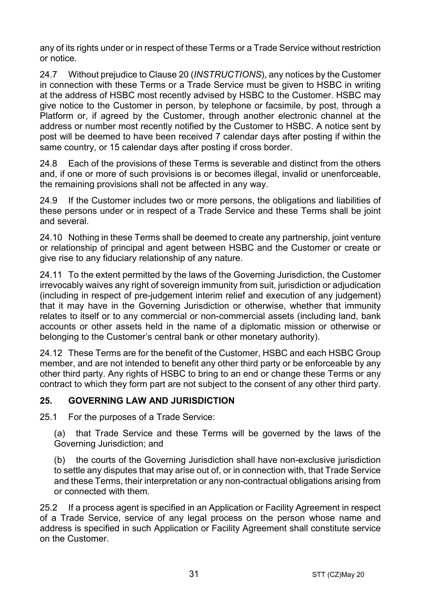any of its rights under or in respect of these Terms or a Trade Service without restriction or notice.

24.7 Without prejudice to Clause 20 (*INSTRUCTIONS*), any notices by the Customer in connection with these Terms or a Trade Service must be given to HSBC in writing at the address of HSBC most recently advised by HSBC to the Customer. HSBC may give notice to the Customer in person, by telephone or facsimile, by post, through a Platform or, if agreed by the Customer, through another electronic channel at the address or number most recently notified by the Customer to HSBC. A notice sent by post will be deemed to have been received 7 calendar days after posting if within the same country, or 15 calendar days after posting if cross border.

24.8 Each of the provisions of these Terms is severable and distinct from the others and, if one or more of such provisions is or becomes illegal, invalid or unenforceable, the remaining provisions shall not be affected in any way.

24.9 If the Customer includes two or more persons, the obligations and liabilities of these persons under or in respect of a Trade Service and these Terms shall be joint and several.

24.10 Nothing in these Terms shall be deemed to create any partnership, joint venture or relationship of principal and agent between HSBC and the Customer or create or give rise to any fiduciary relationship of any nature.

24.11 To the extent permitted by the laws of the Governing Jurisdiction, the Customer irrevocably waives any right of sovereign immunity from suit, jurisdiction or adjudication (including in respect of pre-judgement interim relief and execution of any judgement) that it may have in the Governing Jurisdiction or otherwise, whether that immunity relates to itself or to any commercial or non-commercial assets (including land, bank accounts or other assets held in the name of a diplomatic mission or otherwise or belonging to the Customer's central bank or other monetary authority).

24.12 These Terms are for the benefit of the Customer, HSBC and each HSBC Group member, and are not intended to benefit any other third party or be enforceable by any other third party. Any rights of HSBC to bring to an end or change these Terms or any contract to which they form part are not subject to the consent of any other third party.

## **25. GOVERNING LAW AND JURISDICTION**

25.1 For the purposes of a Trade Service:

(a) that Trade Service and these Terms will be governed by the laws of the Governing Jurisdiction; and

(b) the courts of the Governing Jurisdiction shall have non-exclusive jurisdiction to settle any disputes that may arise out of, or in connection with, that Trade Service and these Terms, their interpretation or any non-contractual obligations arising from or connected with them.

25.2 If a process agent is specified in an Application or Facility Agreement in respect of a Trade Service, service of any legal process on the person whose name and address is specified in such Application or Facility Agreement shall constitute service on the Customer.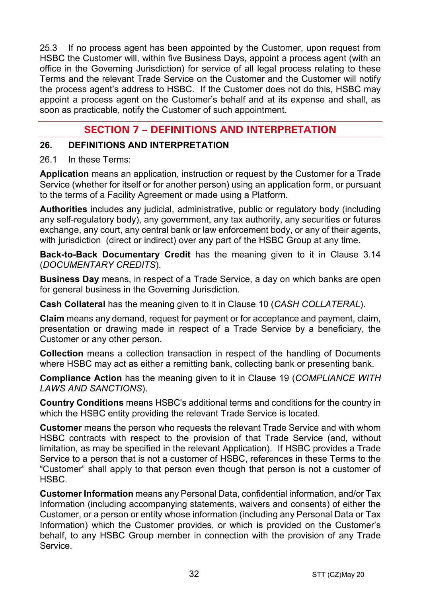25.3 If no process agent has been appointed by the Customer, upon request from HSBC the Customer will, within five Business Days, appoint a process agent (with an office in the Governing Jurisdiction) for service of all legal process relating to these Terms and the relevant Trade Service on the Customer and the Customer will notify the process agent's address to HSBC. If the Customer does not do this, HSBC may appoint a process agent on the Customer's behalf and at its expense and shall, as soon as practicable, notify the Customer of such appointment.

## **SECTION 7 – DEFINITIONS AND INTERPRETATION**

#### **26. DEFINITIONS AND INTERPRETATION**

#### 26.1 In these Terms:

**Application** means an application, instruction or request by the Customer for a Trade Service (whether for itself or for another person) using an application form, or pursuant to the terms of a Facility Agreement or made using a Platform.

**Authorities** includes any judicial, administrative, public or regulatory body (including any self-regulatory body), any government, any tax authority, any securities or futures exchange, any court, any central bank or law enforcement body, or any of their agents, with jurisdiction (direct or indirect) over any part of the HSBC Group at any time.

**Back-to-Back Documentary Credit** has the meaning given to it in Clause 3.14 (*DOCUMENTARY CREDITS*).

**Business Day** means, in respect of a Trade Service, a day on which banks are open for general business in the Governing Jurisdiction.

**Cash Collateral** has the meaning given to it in Clause 10 (*CASH COLLATERAL*).

**Claim** means any demand, request for payment or for acceptance and payment, claim, presentation or drawing made in respect of a Trade Service by a beneficiary, the Customer or any other person.

**Collection** means a collection transaction in respect of the handling of Documents where HSBC may act as either a remitting bank, collecting bank or presenting bank.

**Compliance Action** has the meaning given to it in Clause 19 (*COMPLIANCE WITH LAWS AND SANCTIONS*).

**Country Conditions** means HSBC's additional terms and conditions for the country in which the HSBC entity providing the relevant Trade Service is located.

**Customer** means the person who requests the relevant Trade Service and with whom HSBC contracts with respect to the provision of that Trade Service (and, without limitation, as may be specified in the relevant Application). If HSBC provides a Trade Service to a person that is not a customer of HSBC, references in these Terms to the "Customer" shall apply to that person even though that person is not a customer of HSBC.

**Customer Information** means any Personal Data, confidential information, and/or Tax Information (including accompanying statements, waivers and consents) of either the Customer, or a person or entity whose information (including any Personal Data or Tax Information) which the Customer provides, or which is provided on the Customer's behalf, to any HSBC Group member in connection with the provision of any Trade Service.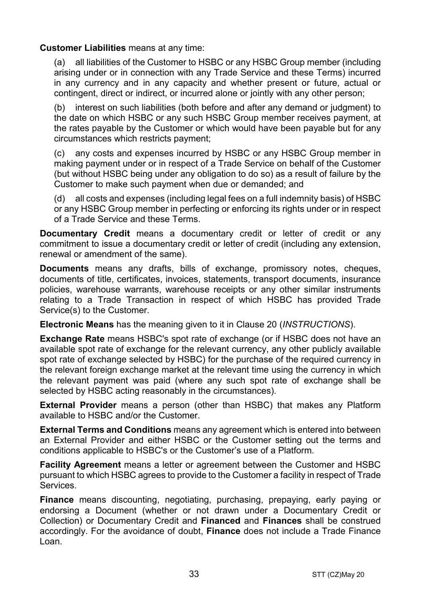#### **Customer Liabilities** means at any time:

(a) all liabilities of the Customer to HSBC or any HSBC Group member (including arising under or in connection with any Trade Service and these Terms) incurred in any currency and in any capacity and whether present or future, actual or contingent, direct or indirect, or incurred alone or jointly with any other person;

(b) interest on such liabilities (both before and after any demand or judgment) to the date on which HSBC or any such HSBC Group member receives payment, at the rates payable by the Customer or which would have been payable but for any circumstances which restricts payment;

(c) any costs and expenses incurred by HSBC or any HSBC Group member in making payment under or in respect of a Trade Service on behalf of the Customer (but without HSBC being under any obligation to do so) as a result of failure by the Customer to make such payment when due or demanded; and

(d) all costs and expenses (including legal fees on a full indemnity basis) of HSBC or any HSBC Group member in perfecting or enforcing its rights under or in respect of a Trade Service and these Terms.

**Documentary Credit** means a documentary credit or letter of credit or any commitment to issue a documentary credit or letter of credit (including any extension, renewal or amendment of the same).

**Documents** means any drafts, bills of exchange, promissory notes, cheques, documents of title, certificates, invoices, statements, transport documents, insurance policies, warehouse warrants, warehouse receipts or any other similar instruments relating to a Trade Transaction in respect of which HSBC has provided Trade Service(s) to the Customer.

**Electronic Means** has the meaning given to it in Clause 20 (*INSTRUCTIONS*).

**Exchange Rate** means HSBC's spot rate of exchange (or if HSBC does not have an available spot rate of exchange for the relevant currency, any other publicly available spot rate of exchange selected by HSBC) for the purchase of the required currency in the relevant foreign exchange market at the relevant time using the currency in which the relevant payment was paid (where any such spot rate of exchange shall be selected by HSBC acting reasonably in the circumstances).

**External Provider** means a person (other than HSBC) that makes any Platform available to HSBC and/or the Customer.

**External Terms and Conditions** means any agreement which is entered into between an External Provider and either HSBC or the Customer setting out the terms and conditions applicable to HSBC's or the Customer's use of a Platform.

**Facility Agreement** means a letter or agreement between the Customer and HSBC pursuant to which HSBC agrees to provide to the Customer a facility in respect of Trade Services.

**Finance** means discounting, negotiating, purchasing, prepaying, early paying or endorsing a Document (whether or not drawn under a Documentary Credit or Collection) or Documentary Credit and **Financed** and **Finances** shall be construed accordingly. For the avoidance of doubt, **Finance** does not include a Trade Finance Loan.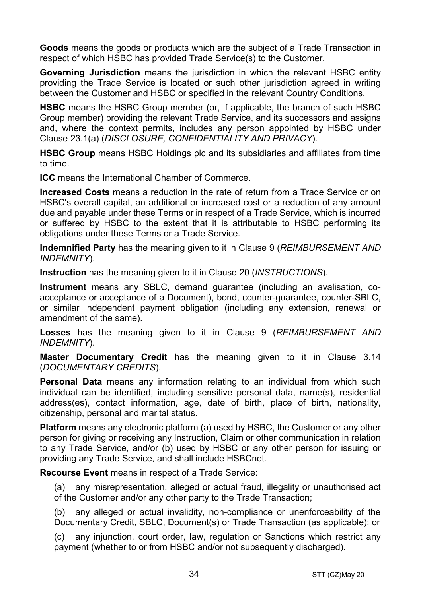**Goods** means the goods or products which are the subject of a Trade Transaction in respect of which HSBC has provided Trade Service(s) to the Customer.

**Governing Jurisdiction** means the jurisdiction in which the relevant HSBC entity providing the Trade Service is located or such other jurisdiction agreed in writing between the Customer and HSBC or specified in the relevant Country Conditions.

**HSBC** means the HSBC Group member (or, if applicable, the branch of such HSBC Group member) providing the relevant Trade Service, and its successors and assigns and, where the context permits, includes any person appointed by HSBC under Clause 23.1(a) (*DISCLOSURE, CONFIDENTIALITY AND PRIVACY*).

**HSBC Group** means HSBC Holdings plc and its subsidiaries and affiliates from time to time.

**ICC** means the International Chamber of Commerce.

**Increased Costs** means a reduction in the rate of return from a Trade Service or on HSBC's overall capital, an additional or increased cost or a reduction of any amount due and payable under these Terms or in respect of a Trade Service, which is incurred or suffered by HSBC to the extent that it is attributable to HSBC performing its obligations under these Terms or a Trade Service.

**Indemnified Party** has the meaning given to it in Clause 9 (*REIMBURSEMENT AND INDEMNITY*).

**Instruction** has the meaning given to it in Clause 20 (*INSTRUCTIONS*).

**Instrument** means any SBLC, demand guarantee (including an avalisation, coacceptance or acceptance of a Document), bond, counter-guarantee, counter-SBLC, or similar independent payment obligation (including any extension, renewal or amendment of the same).

**Losses** has the meaning given to it in Clause 9 (*REIMBURSEMENT AND INDEMNITY*).

**Master Documentary Credit** has the meaning given to it in Clause 3.14 (*DOCUMENTARY CREDITS*).

**Personal Data** means any information relating to an individual from which such individual can be identified, including sensitive personal data, name(s), residential address(es), contact information, age, date of birth, place of birth, nationality, citizenship, personal and marital status.

**Platform** means any electronic platform (a) used by HSBC, the Customer or any other person for giving or receiving any Instruction, Claim or other communication in relation to any Trade Service, and/or (b) used by HSBC or any other person for issuing or providing any Trade Service, and shall include HSBCnet.

**Recourse Event** means in respect of a Trade Service:

(a) any misrepresentation, alleged or actual fraud, illegality or unauthorised act of the Customer and/or any other party to the Trade Transaction;

(b) any alleged or actual invalidity, non-compliance or unenforceability of the Documentary Credit, SBLC, Document(s) or Trade Transaction (as applicable); or

(c) any injunction, court order, law, regulation or Sanctions which restrict any payment (whether to or from HSBC and/or not subsequently discharged).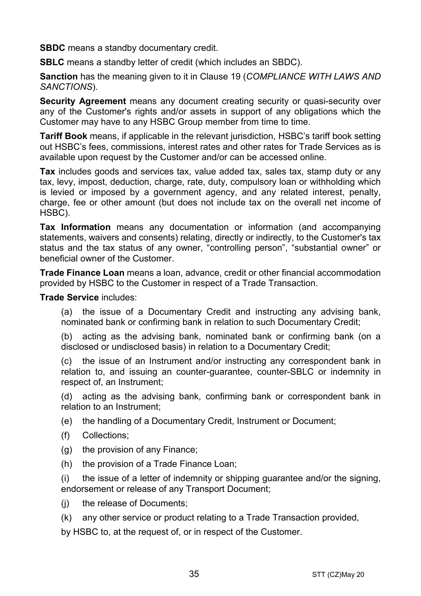**SBDC** means a standby documentary credit.

**SBLC** means a standby letter of credit (which includes an SBDC).

**Sanction** has the meaning given to it in Clause 19 (*COMPLIANCE WITH LAWS AND SANCTIONS*).

**Security Agreement** means any document creating security or quasi-security over any of the Customer's rights and/or assets in support of any obligations which the Customer may have to any HSBC Group member from time to time.

**Tariff Book** means, if applicable in the relevant jurisdiction, HSBC's tariff book setting out HSBC's fees, commissions, interest rates and other rates for Trade Services as is available upon request by the Customer and/or can be accessed online.

**Tax** includes goods and services tax, value added tax, sales tax, stamp duty or any tax, levy, impost, deduction, charge, rate, duty, compulsory loan or withholding which is levied or imposed by a government agency, and any related interest, penalty, charge, fee or other amount (but does not include tax on the overall net income of HSBC).

**Tax Information** means any documentation or information (and accompanying statements, waivers and consents) relating, directly or indirectly, to the Customer's tax status and the tax status of any owner, "controlling person", "substantial owner" or beneficial owner of the Customer.

**Trade Finance Loan** means a loan, advance, credit or other financial accommodation provided by HSBC to the Customer in respect of a Trade Transaction.

**Trade Service** includes:

(a) the issue of a Documentary Credit and instructing any advising bank, nominated bank or confirming bank in relation to such Documentary Credit;

(b) acting as the advising bank, nominated bank or confirming bank (on a disclosed or undisclosed basis) in relation to a Documentary Credit;

(c) the issue of an Instrument and/or instructing any correspondent bank in relation to, and issuing an counter-guarantee, counter-SBLC or indemnity in respect of, an Instrument;

(d) acting as the advising bank, confirming bank or correspondent bank in relation to an Instrument;

(e) the handling of a Documentary Credit, Instrument or Document;

- (f) Collections;
- (g) the provision of any Finance;
- (h) the provision of a Trade Finance Loan;

(i) the issue of a letter of indemnity or shipping guarantee and/or the signing, endorsement or release of any Transport Document;

- (j) the release of Documents;
- (k) any other service or product relating to a Trade Transaction provided,

by HSBC to, at the request of, or in respect of the Customer.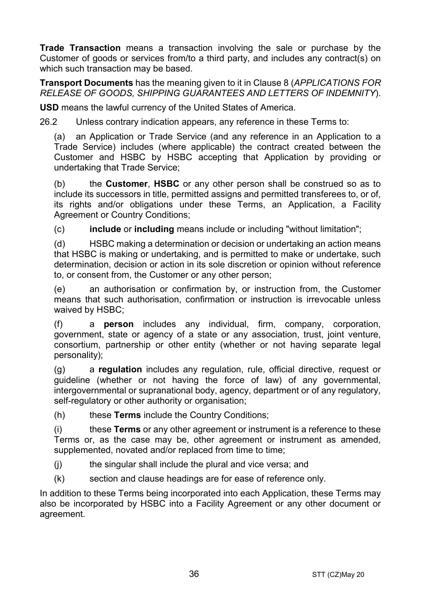**Trade Transaction** means a transaction involving the sale or purchase by the Customer of goods or services from/to a third party, and includes any contract(s) on which such transaction may be based.

**Transport Documents** has the meaning given to it in Clause 8 (*APPLICATIONS FOR RELEASE OF GOODS, SHIPPING GUARANTEES AND LETTERS OF INDEMNITY*).

**USD** means the lawful currency of the United States of America.

26.2 Unless contrary indication appears, any reference in these Terms to:

(a) an Application or Trade Service (and any reference in an Application to a Trade Service) includes (where applicable) the contract created between the Customer and HSBC by HSBC accepting that Application by providing or undertaking that Trade Service;

(b) the **Customer**, **HSBC** or any other person shall be construed so as to include its successors in title, permitted assigns and permitted transferees to, or of, its rights and/or obligations under these Terms, an Application, a Facility Agreement or Country Conditions;

(c) **include** or **including** means include or including "without limitation";

(d) HSBC making a determination or decision or undertaking an action means that HSBC is making or undertaking, and is permitted to make or undertake, such determination, decision or action in its sole discretion or opinion without reference to, or consent from, the Customer or any other person;

(e) an authorisation or confirmation by, or instruction from, the Customer means that such authorisation, confirmation or instruction is irrevocable unless waived by HSBC;

(f) a **person** includes any individual, firm, company, corporation, government, state or agency of a state or any association, trust, joint venture, consortium, partnership or other entity (whether or not having separate legal personality);

(g) a **regulation** includes any regulation, rule, official directive, request or guideline (whether or not having the force of law) of any governmental, intergovernmental or supranational body, agency, department or of any regulatory, self-regulatory or other authority or organisation;

(h) these **Terms** include the Country Conditions;

(i) these **Terms** or any other agreement or instrument is a reference to these Terms or, as the case may be, other agreement or instrument as amended, supplemented, novated and/or replaced from time to time;

(j) the singular shall include the plural and vice versa; and

(k) section and clause headings are for ease of reference only.

In addition to these Terms being incorporated into each Application, these Terms may also be incorporated by HSBC into a Facility Agreement or any other document or agreement.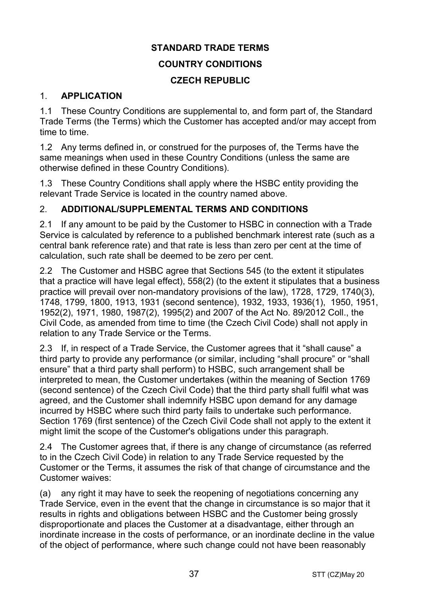## **STANDARD TRADE TERMS COUNTRY CONDITIONS CZECH REPUBLIC**

## 1. **APPLICATION**

1.1 These Country Conditions are supplemental to, and form part of, the Standard Trade Terms (the Terms) which the Customer has accepted and/or may accept from time to time.

1.2 Any terms defined in, or construed for the purposes of, the Terms have the same meanings when used in these Country Conditions (unless the same are otherwise defined in these Country Conditions).

1.3 These Country Conditions shall apply where the HSBC entity providing the relevant Trade Service is located in the country named above.

## 2. **ADDITIONAL/SUPPLEMENTAL TERMS AND CONDITIONS**

2.1 If any amount to be paid by the Customer to HSBC in connection with a Trade Service is calculated by reference to a published benchmark interest rate (such as a central bank reference rate) and that rate is less than zero per cent at the time of calculation, such rate shall be deemed to be zero per cent.

2.2 The Customer and HSBC agree that Sections 545 (to the extent it stipulates that a practice will have legal effect), 558(2) (to the extent it stipulates that a business practice will prevail over non-mandatory provisions of the law), 1728, 1729, 1740(3), 1748, 1799, 1800, 1913, 1931 (second sentence), 1932, 1933, 1936(1), 1950, 1951, 1952(2), 1971, 1980, 1987(2), 1995(2) and 2007 of the Act No. 89/2012 Coll., the Civil Code, as amended from time to time (the Czech Civil Code) shall not apply in relation to any Trade Service or the Terms.

2.3 If, in respect of a Trade Service, the Customer agrees that it "shall cause" a third party to provide any performance (or similar, including "shall procure" or "shall ensure" that a third party shall perform) to HSBC, such arrangement shall be interpreted to mean, the Customer undertakes (within the meaning of Section 1769 (second sentence) of the Czech Civil Code) that the third party shall fulfil what was agreed, and the Customer shall indemnify HSBC upon demand for any damage incurred by HSBC where such third party fails to undertake such performance. Section 1769 (first sentence) of the Czech Civil Code shall not apply to the extent it might limit the scope of the Customer's obligations under this paragraph.

2.4 The Customer agrees that, if there is any change of circumstance (as referred to in the Czech Civil Code) in relation to any Trade Service requested by the Customer or the Terms, it assumes the risk of that change of circumstance and the Customer waives:

(a) any right it may have to seek the reopening of negotiations concerning any Trade Service, even in the event that the change in circumstance is so major that it results in rights and obligations between HSBC and the Customer being grossly disproportionate and places the Customer at a disadvantage, either through an inordinate increase in the costs of performance, or an inordinate decline in the value of the object of performance, where such change could not have been reasonably